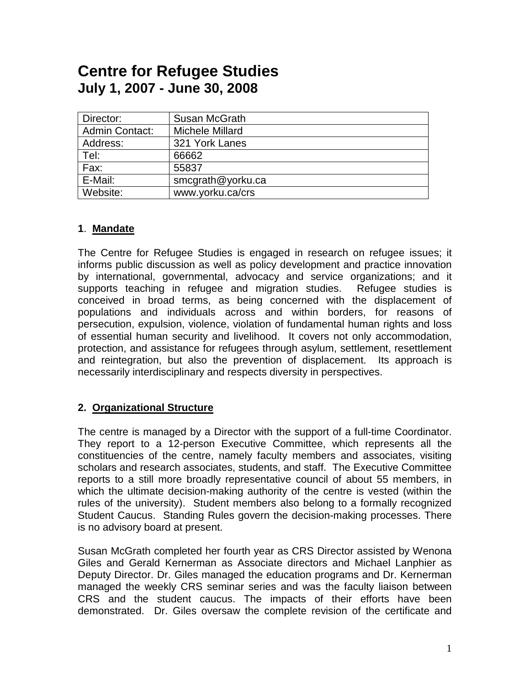# **Centre for Refugee Studies July 1, 2007 - June 30, 2008**

| Director:             | Susan McGrath     |
|-----------------------|-------------------|
| <b>Admin Contact:</b> | Michele Millard   |
| Address:              | 321 York Lanes    |
| Tel:                  | 66662             |
| Fax:                  | 55837             |
| E-Mail:               | smcgrath@yorku.ca |
| Website:              | www.yorku.ca/crs  |

#### **1**. **Mandate**

The Centre for Refugee Studies is engaged in research on refugee issues; it informs public discussion as well as policy development and practice innovation by international, governmental, advocacy and service organizations; and it supports teaching in refugee and migration studies. Refugee studies is conceived in broad terms, as being concerned with the displacement of populations and individuals across and within borders, for reasons of persecution, expulsion, violence, violation of fundamental human rights and loss of essential human security and livelihood. It covers not only accommodation, protection, and assistance for refugees through asylum, settlement, resettlement and reintegration, but also the prevention of displacement. Its approach is necessarily interdisciplinary and respects diversity in perspectives.

#### **2. Organizational Structure**

The centre is managed by a Director with the support of a full-time Coordinator. They report to a 12-person Executive Committee, which represents all the constituencies of the centre, namely faculty members and associates, visiting scholars and research associates, students, and staff. The Executive Committee reports to a still more broadly representative council of about 55 members, in which the ultimate decision-making authority of the centre is vested (within the rules of the university). Student members also belong to a formally recognized Student Caucus. Standing Rules govern the decision-making processes. There is no advisory board at present.

Susan McGrath completed her fourth year as CRS Director assisted by Wenona Giles and Gerald Kernerman as Associate directors and Michael Lanphier as Deputy Director. Dr. Giles managed the education programs and Dr. Kernerman managed the weekly CRS seminar series and was the faculty liaison between CRS and the student caucus. The impacts of their efforts have been demonstrated. Dr. Giles oversaw the complete revision of the certificate and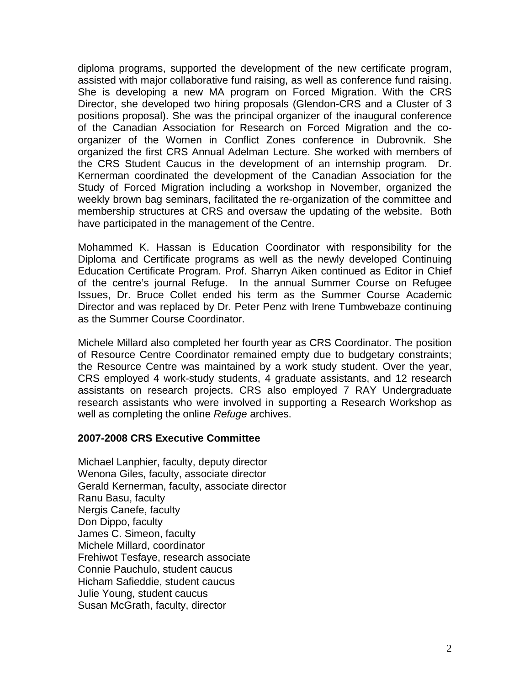diploma programs, supported the development of the new certificate program, assisted with major collaborative fund raising, as well as conference fund raising. She is developing a new MA program on Forced Migration. With the CRS Director, she developed two hiring proposals (Glendon-CRS and a Cluster of 3 positions proposal). She was the principal organizer of the inaugural conference of the Canadian Association for Research on Forced Migration and the coorganizer of the Women in Conflict Zones conference in Dubrovnik. She organized the first CRS Annual Adelman Lecture. She worked with members of the CRS Student Caucus in the development of an internship program. Dr. Kernerman coordinated the development of the Canadian Association for the Study of Forced Migration including a workshop in November, organized the weekly brown bag seminars, facilitated the re-organization of the committee and membership structures at CRS and oversaw the updating of the website. Both have participated in the management of the Centre.

Mohammed K. Hassan is Education Coordinator with responsibility for the Diploma and Certificate programs as well as the newly developed Continuing Education Certificate Program. Prof. Sharryn Aiken continued as Editor in Chief of the centre's journal Refuge. In the annual Summer Course on Refugee Issues, Dr. Bruce Collet ended his term as the Summer Course Academic Director and was replaced by Dr. Peter Penz with Irene Tumbwebaze continuing as the Summer Course Coordinator.

Michele Millard also completed her fourth year as CRS Coordinator. The position of Resource Centre Coordinator remained empty due to budgetary constraints; the Resource Centre was maintained by a work study student. Over the year, CRS employed 4 work-study students, 4 graduate assistants, and 12 research assistants on research projects. CRS also employed 7 RAY Undergraduate research assistants who were involved in supporting a Research Workshop as well as completing the online *Refuge* archives.

#### **2007-2008 CRS Executive Committee**

Michael Lanphier, faculty, deputy director Wenona Giles, faculty, associate director Gerald Kernerman, faculty, associate director Ranu Basu, faculty Nergis Canefe, faculty Don Dippo, faculty James C. Simeon, faculty Michele Millard, coordinator Frehiwot Tesfaye, research associate Connie Pauchulo, student caucus Hicham Safieddie, student caucus Julie Young, student caucus Susan McGrath, faculty, director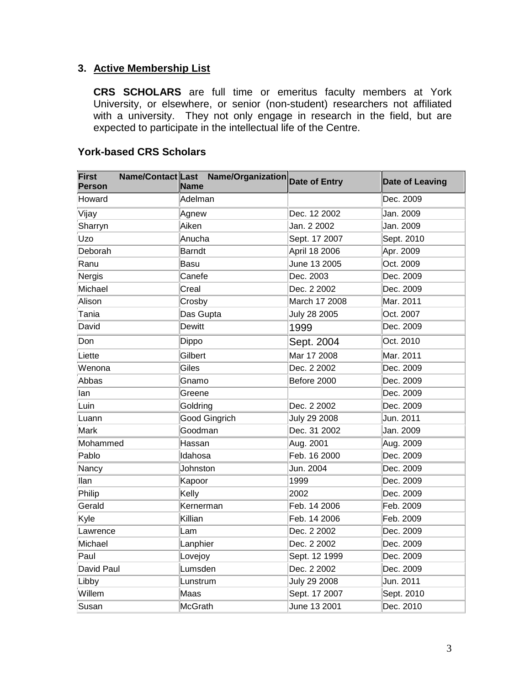#### **3. Active Membership List**

**CRS SCHOLARS** are full time or emeritus faculty members at York University, or elsewhere, or senior (non-student) researchers not affiliated with a university. They not only engage in research in the field, but are expected to participate in the intellectual life of the Centre.

| <b>First</b><br><b>Person</b> | Name/Contact Last Name/Organization Date of Entry<br><b>Name</b> |               | <b>Date of Leaving</b> |
|-------------------------------|------------------------------------------------------------------|---------------|------------------------|
| Howard                        | Adelman                                                          |               | Dec. 2009              |
| Vijay                         | Agnew                                                            | Dec. 12 2002  | Jan. 2009              |
| Sharryn                       | Aiken                                                            | Jan. 2 2002   | Jan. 2009              |
| Uzo                           | Anucha                                                           | Sept. 17 2007 | Sept. 2010             |
| Deborah                       | <b>Barndt</b>                                                    | April 18 2006 | Apr. 2009              |
| Ranu                          | <b>Basu</b>                                                      | June 13 2005  | Oct. 2009              |
| Nergis                        | Canefe                                                           | Dec. 2003     | Dec. 2009              |
| Michael                       | Creal                                                            | Dec. 2 2002   | Dec. 2009              |
| Alison                        | Crosby                                                           | March 17 2008 | Mar. 2011              |
| Tania                         | Das Gupta                                                        | July 28 2005  | Oct. 2007              |
| David                         | <b>Dewitt</b>                                                    | 1999          | Dec. 2009              |
| Don                           | Dippo                                                            | Sept. 2004    | Oct. 2010              |
| Liette                        | Gilbert                                                          | Mar 17 2008   | Mar. 2011              |
| Wenona                        | Giles                                                            | Dec. 2 2002   | Dec. 2009              |
| Abbas                         | Gnamo                                                            | Before 2000   | Dec. 2009              |
| llan                          | Greene                                                           |               | Dec. 2009              |
| Luin                          | Goldring                                                         | Dec. 2 2002   | Dec. 2009              |
| Luann                         | <b>Good Gingrich</b>                                             | July 29 2008  | Jun. 2011              |
| Mark                          | Goodman                                                          | Dec. 31 2002  | Jan. 2009              |
| Mohammed                      | Hassan                                                           | Aug. 2001     | Aug. 2009              |
| Pablo                         | Idahosa                                                          | Feb. 16 2000  | Dec. 2009              |
| Nancy                         | Johnston                                                         | Jun. 2004     | Dec. 2009              |
| llan                          | Kapoor                                                           | 1999          | Dec. 2009              |
| Philip                        | Kelly                                                            | 2002          | Dec. 2009              |
| Gerald                        | Kernerman                                                        | Feb. 14 2006  | Feb. 2009              |
| Kyle                          | Killian                                                          | Feb. 14 2006  | Feb. 2009              |
| Lawrence                      | Lam                                                              | Dec. 2 2002   | Dec. 2009              |
| Michael                       | Lanphier                                                         | Dec. 2 2002   | Dec. 2009              |
| Paul                          | Lovejoy                                                          | Sept. 12 1999 | Dec. 2009              |
| David Paul                    | Lumsden                                                          | Dec. 2 2002   | Dec. 2009              |
| Libby                         | Lunstrum                                                         | July 29 2008  | Jun. 2011              |
| Willem                        | Maas                                                             | Sept. 17 2007 | Sept. 2010             |
| Susan                         | <b>McGrath</b>                                                   | June 13 2001  | Dec. 2010              |

#### **York-based CRS Scholars**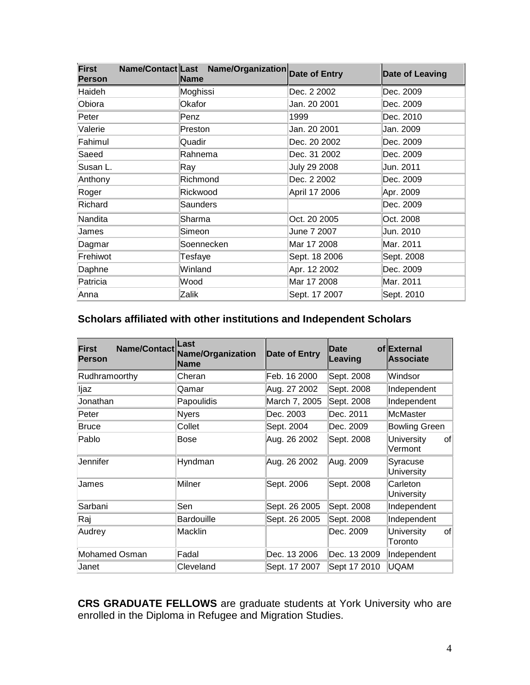| <b>First</b><br><b>Person</b> | Name/Contact Last Name/Organization Date of Entry<br>Name |               | <b>Date of Leaving</b> |
|-------------------------------|-----------------------------------------------------------|---------------|------------------------|
| Haideh                        | Moghissi                                                  | Dec. 2 2002   | Dec. 2009              |
| Obiora                        | Okafor                                                    | Jan. 20 2001  | Dec. 2009              |
| Peter                         | Penz                                                      | 1999          | Dec. 2010              |
| Valerie                       | Preston                                                   | Jan. 20 2001  | Jan. 2009              |
| Fahimul                       | Quadir                                                    | Dec. 20 2002  | Dec. 2009              |
| Saeed                         | Rahnema                                                   | Dec. 31 2002  | Dec. 2009              |
| Susan L.                      | Ray                                                       | July 29 2008  | Jun. 2011              |
| Anthony                       | Richmond                                                  | Dec. 2 2002   | Dec. 2009              |
| Roger                         | Rickwood                                                  | April 17 2006 | Apr. 2009              |
| Richard                       | Saunders                                                  |               | Dec. 2009              |
| Nandita                       | Sharma                                                    | Oct. 20 2005  | Oct. 2008              |
| James                         | Simeon                                                    | June 7 2007   | Jun. 2010              |
| Dagmar                        | Soennecken                                                | Mar 17 2008   | Mar. 2011              |
| Frehiwot                      | Tesfaye                                                   | Sept. 18 2006 | Sept. 2008             |
| Daphne                        | Winland                                                   | Apr. 12 2002  | Dec. 2009              |
| Patricia                      | Wood                                                      | Mar 17 2008   | Mar. 2011              |
| Anna                          | Zalik                                                     | Sept. 17 2007 | Sept. 2010             |

#### **Scholars affiliated with other institutions and Independent Scholars**

| <b>Name/Contact</b><br>First<br><b>Person</b> | Last<br>Name/Organization<br><b>Name</b> | Date of Entry | Date<br>Leaving | of External<br>Associate           |
|-----------------------------------------------|------------------------------------------|---------------|-----------------|------------------------------------|
| Rudhramoorthy                                 | Cheran                                   | Feb. 16 2000  | Sept. 2008      | Windsor                            |
| ljaz                                          | Qamar                                    | Aug. 27 2002  | Sept. 2008      | Independent                        |
| Jonathan                                      | Papoulidis                               | March 7, 2005 | Sept. 2008      | Independent                        |
| Peter                                         | <b>Nyers</b>                             | Dec. 2003     | Dec. 2011       | McMaster                           |
| Bruce                                         | Collet                                   | Sept. 2004    | Dec. 2009       | <b>Bowling Green</b>               |
| Pablo                                         | Bose                                     | Aug. 26 2002  | Sept. 2008      | University<br>of<br>Vermont        |
| Uennifer                                      | Hyndman                                  | Aug. 26 2002  | Aug. 2009       | Syracuse<br><b>University</b>      |
| James                                         | Milner                                   | Sept. 2006    | Sept. 2008      | Carleton<br><b>University</b>      |
| Sarbani                                       | Sen                                      | Sept. 26 2005 | Sept. 2008      | Independent                        |
| Raj                                           | <b>Bardouille</b>                        | Sept. 26 2005 | Sept. 2008      | Independent                        |
| Audrey                                        | Macklin                                  |               | Dec. 2009       | <b>University</b><br>of<br>Toronto |
| Mohamed Osman                                 | Fadal                                    | Dec. 13 2006  | Dec. 13 2009    | Independent                        |
| Janet                                         | Cleveland                                | Sept. 17 2007 | Sept 17 2010    | <b>UQAM</b>                        |

**CRS GRADUATE FELLOWS** are graduate students at York University who are enrolled in the Diploma in Refugee and Migration Studies.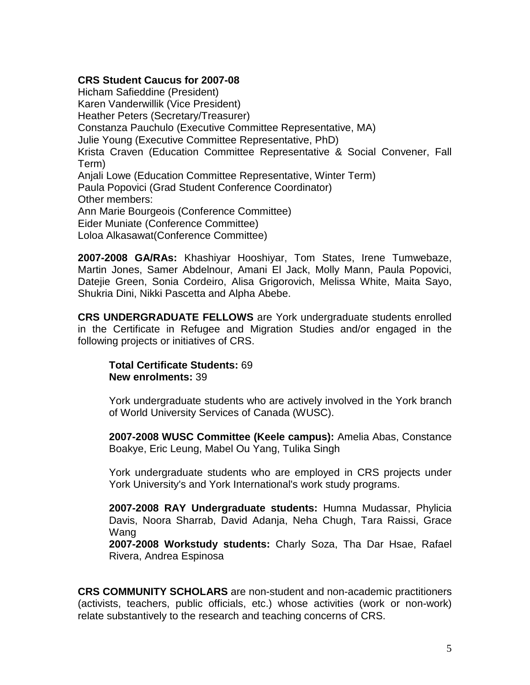#### **CRS Student Caucus for 2007-08**

Hicham Safieddine (President) Karen Vanderwillik (Vice President) Heather Peters (Secretary/Treasurer) Constanza Pauchulo (Executive Committee Representative, MA) Julie Young (Executive Committee Representative, PhD) Krista Craven (Education Committee Representative & Social Convener, Fall Term) Anjali Lowe (Education Committee Representative, Winter Term) Paula Popovici (Grad Student Conference Coordinator) Other members: Ann Marie Bourgeois (Conference Committee) Eider Muniate (Conference Committee) Loloa Alkasawat(Conference Committee)

**2007-2008 GA/RAs:** Khashiyar Hooshiyar, Tom States, Irene Tumwebaze, Martin Jones, Samer Abdelnour, Amani El Jack, Molly Mann, Paula Popovici, Datejie Green, Sonia Cordeiro, Alisa Grigorovich, Melissa White, Maita Sayo, Shukria Dini, Nikki Pascetta and Alpha Abebe.

**CRS UNDERGRADUATE FELLOWS** are York undergraduate students enrolled in the Certificate in Refugee and Migration Studies and/or engaged in the following projects or initiatives of CRS.

**Total Certificate Students:** 69 **New enrolments:** 39

York undergraduate students who are actively involved in the York branch of World University Services of Canada (WUSC).

**2007-2008 WUSC Committee (Keele campus):** Amelia Abas, Constance Boakye, Eric Leung, Mabel Ou Yang, Tulika Singh

York undergraduate students who are employed in CRS projects under York University's and York International's work study programs.

**2007-2008 RAY Undergraduate students:** Humna Mudassar, Phylicia Davis, Noora Sharrab, David Adanja, Neha Chugh, Tara Raissi, Grace Wang

**2007-2008 Workstudy students:** Charly Soza, Tha Dar Hsae, Rafael Rivera, Andrea Espinosa

**CRS COMMUNITY SCHOLARS** are non-student and non-academic practitioners (activists, teachers, public officials, etc.) whose activities (work or non-work) relate substantively to the research and teaching concerns of CRS.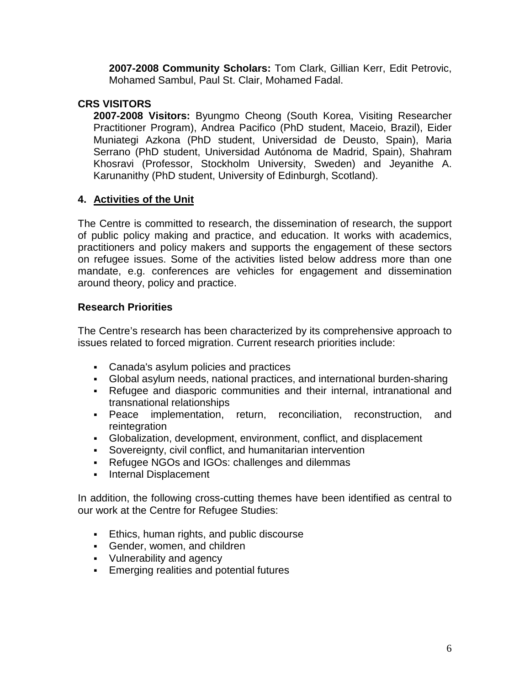**2007-2008 Community Scholars:** Tom Clark, Gillian Kerr, Edit Petrovic, Mohamed Sambul, Paul St. Clair, Mohamed Fadal.

#### **CRS VISITORS**

**2007-2008 Visitors:** Byungmo Cheong (South Korea, Visiting Researcher Practitioner Program), Andrea Pacifico (PhD student, Maceio, Brazil), Eider Muniategi Azkona (PhD student, Universidad de Deusto, Spain), Maria Serrano (PhD student, Universidad Autónoma de Madrid, Spain), Shahram Khosravi (Professor, Stockholm University, Sweden) and Jeyanithe A. Karunanithy (PhD student, University of Edinburgh, Scotland).

#### **4. Activities of the Unit**

The Centre is committed to research, the dissemination of research, the support of public policy making and practice, and education. It works with academics, practitioners and policy makers and supports the engagement of these sectors on refugee issues. Some of the activities listed below address more than one mandate, e.g. conferences are vehicles for engagement and dissemination around theory, policy and practice.

#### **Research Priorities**

The Centre's research has been characterized by its comprehensive approach to issues related to forced migration. Current research priorities include:

- Canada's asylum policies and practices
- Global asylum needs, national practices, and international burden-sharing
- Refugee and diasporic communities and their internal, intranational and transnational relationships
- Peace implementation, return, reconciliation, reconstruction, and reintegration
- Globalization, development, environment, conflict, and displacement
- Sovereignty, civil conflict, and humanitarian intervention
- Refugee NGOs and IGOs: challenges and dilemmas
- **Internal Displacement**

In addition, the following cross-cutting themes have been identified as central to our work at the Centre for Refugee Studies:

- **Ethics, human rights, and public discourse**
- Gender, women, and children
- Vulnerability and agency
- **Emerging realities and potential futures**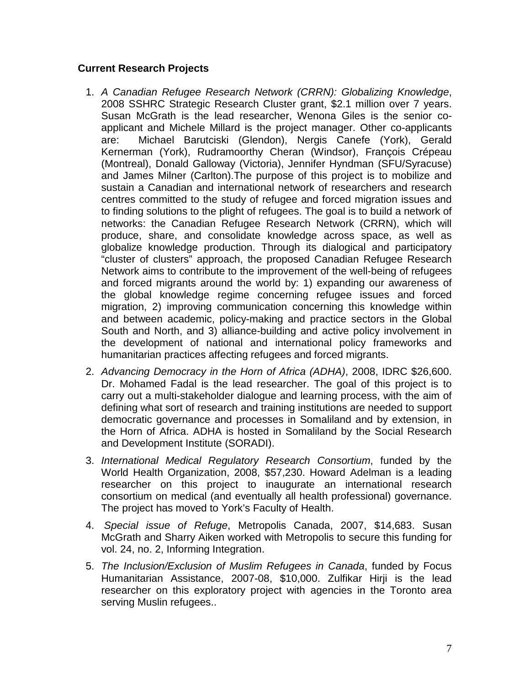#### **Current Research Projects**

- 1. *A Canadian Refugee Research Network (CRRN): Globalizing Knowledge*, 2008 SSHRC Strategic Research Cluster grant, \$2.1 million over 7 years. Susan McGrath is the lead researcher, Wenona Giles is the senior coapplicant and Michele Millard is the project manager. Other co-applicants are: Michael Barutciski (Glendon), Nergis Canefe (York), Gerald Kernerman (York), Rudramoorthy Cheran (Windsor), François Crépeau (Montreal), Donald Galloway (Victoria), Jennifer Hyndman (SFU/Syracuse) and James Milner (Carlton).The purpose of this project is to mobilize and sustain a Canadian and international network of researchers and research centres committed to the study of refugee and forced migration issues and to finding solutions to the plight of refugees. The goal is to build a network of networks: the Canadian Refugee Research Network (CRRN), which will produce, share, and consolidate knowledge across space, as well as globalize knowledge production. Through its dialogical and participatory "cluster of clusters" approach, the proposed Canadian Refugee Research Network aims to contribute to the improvement of the well-being of refugees and forced migrants around the world by: 1) expanding our awareness of the global knowledge regime concerning refugee issues and forced migration, 2) improving communication concerning this knowledge within and between academic, policy-making and practice sectors in the Global South and North, and 3) alliance-building and active policy involvement in the development of national and international policy frameworks and humanitarian practices affecting refugees and forced migrants.
- 2. *Advancing Democracy in the Horn of Africa (ADHA)*, 2008, IDRC \$26,600. Dr. Mohamed Fadal is the lead researcher. The goal of this project is to carry out a multi-stakeholder dialogue and learning process, with the aim of defining what sort of research and training institutions are needed to support democratic governance and processes in Somaliland and by extension, in the Horn of Africa. ADHA is hosted in Somaliland by the Social Research and Development Institute (SORADI).
- 3. *International Medical Regulatory Research Consortium*, funded by the World Health Organization, 2008, \$57,230. Howard Adelman is a leading researcher on this project to inaugurate an international research consortium on medical (and eventually all health professional) governance. The project has moved to York's Faculty of Health.
- 4. *Special issue of Refuge*, Metropolis Canada, 2007, \$14,683. Susan McGrath and Sharry Aiken worked with Metropolis to secure this funding for vol. 24, no. 2, Informing Integration.
- 5. *The Inclusion/Exclusion of Muslim Refugees in Canada*, funded by Focus Humanitarian Assistance, 2007-08, \$10,000. Zulfikar Hirji is the lead researcher on this exploratory project with agencies in the Toronto area serving Muslin refugees..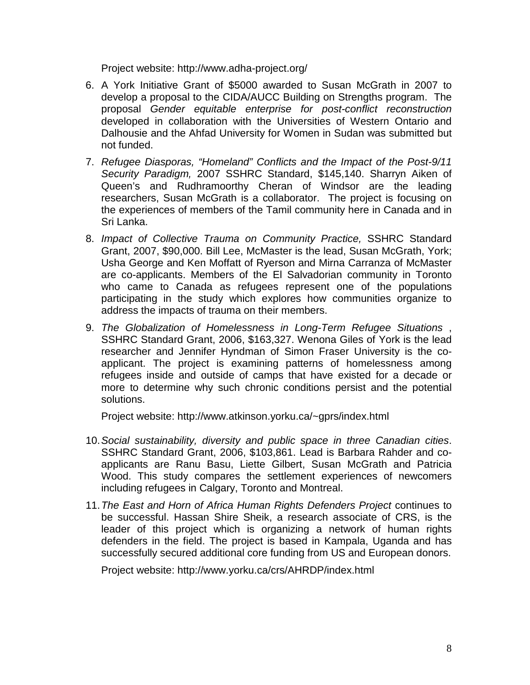Project website: http://www.adha-project.org/

- 6. A York Initiative Grant of \$5000 awarded to Susan McGrath in 2007 to develop a proposal to the CIDA/AUCC Building on Strengths program. The proposal *Gender equitable enterprise for post-conflict reconstruction* developed in collaboration with the Universities of Western Ontario and Dalhousie and the Ahfad University for Women in Sudan was submitted but not funded.
- 7. *Refugee Diasporas, "Homeland" Conflicts and the Impact of the Post-9/11 Security Paradigm,* 2007 SSHRC Standard, \$145,140. Sharryn Aiken of Queen's and Rudhramoorthy Cheran of Windsor are the leading researchers, Susan McGrath is a collaborator. The project is focusing on the experiences of members of the Tamil community here in Canada and in Sri Lanka.
- 8. *Impact of Collective Trauma on Community Practice,* SSHRC Standard Grant, 2007, \$90,000. Bill Lee, McMaster is the lead, Susan McGrath, York; Usha George and Ken Moffatt of Ryerson and Mirna Carranza of McMaster are co-applicants. Members of the El Salvadorian community in Toronto who came to Canada as refugees represent one of the populations participating in the study which explores how communities organize to address the impacts of trauma on their members.
- 9. *The Globalization of Homelessness in Long-Term Refugee Situations* , SSHRC Standard Grant, 2006, \$163,327. Wenona Giles of York is the lead researcher and Jennifer Hyndman of Simon Fraser University is the coapplicant. The project is examining patterns of homelessness among refugees inside and outside of camps that have existed for a decade or more to determine why such chronic conditions persist and the potential solutions.

Project website: http://www.atkinson.yorku.ca/~gprs/index.html

- 10.*Social sustainability, diversity and public space in three Canadian cities*. SSHRC Standard Grant, 2006, \$103,861. Lead is Barbara Rahder and coapplicants are Ranu Basu, Liette Gilbert, Susan McGrath and Patricia Wood. This study compares the settlement experiences of newcomers including refugees in Calgary, Toronto and Montreal.
- 11.*The East and Horn of Africa Human Rights Defenders Project* continues to be successful. Hassan Shire Sheik, a research associate of CRS, is the leader of this project which is organizing a network of human rights defenders in the field. The project is based in Kampala, Uganda and has successfully secured additional core funding from US and European donors.

Project website: http://www.yorku.ca/crs/AHRDP/index.html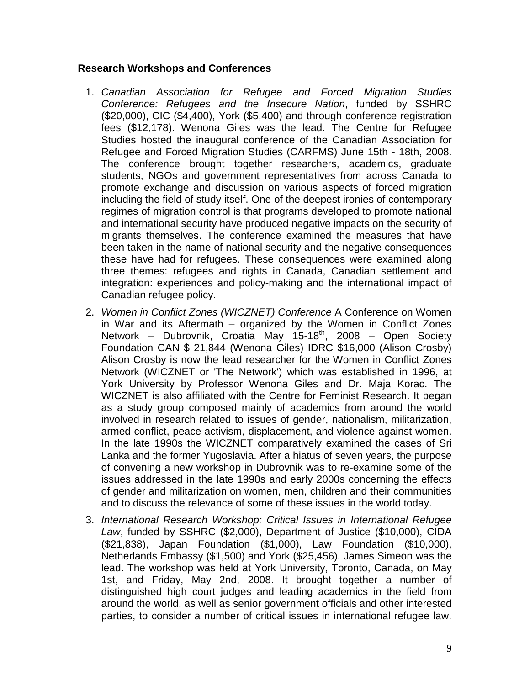#### **Research Workshops and Conferences**

- 1. *Canadian Association for Refugee and Forced Migration Studies Conference: Refugees and the Insecure Nation*, funded by SSHRC (\$20,000), CIC (\$4,400), York (\$5,400) and through conference registration fees (\$12,178). Wenona Giles was the lead. The Centre for Refugee Studies hosted the inaugural conference of the Canadian Association for Refugee and Forced Migration Studies (CARFMS) June 15th - 18th, 2008. The conference brought together researchers, academics, graduate students, NGOs and government representatives from across Canada to promote exchange and discussion on various aspects of forced migration including the field of study itself. One of the deepest ironies of contemporary regimes of migration control is that programs developed to promote national and international security have produced negative impacts on the security of migrants themselves. The conference examined the measures that have been taken in the name of national security and the negative consequences these have had for refugees. These consequences were examined along three themes: refugees and rights in Canada, Canadian settlement and integration: experiences and policy-making and the international impact of Canadian refugee policy.
- 2. *Women in Conflict Zones (WICZNET) Conference* A Conference on Women in War and its Aftermath – organized by the Women in Conflict Zones Network – Dubrovnik, Croatia May  $15{\text -}18^{\text{th}}$ , 2008 – Open Society Foundation CAN \$ 21,844 (Wenona Giles) IDRC \$16,000 (Alison Crosby) Alison Crosby is now the lead researcher for the Women in Conflict Zones Network (WICZNET or 'The Network') which was established in 1996, at York University by Professor Wenona Giles and Dr. Maja Korac. The WICZNET is also affiliated with the Centre for Feminist Research. It began as a study group composed mainly of academics from around the world involved in research related to issues of gender, nationalism, militarization, armed conflict, peace activism, displacement, and violence against women. In the late 1990s the WICZNET comparatively examined the cases of Sri Lanka and the former Yugoslavia. After a hiatus of seven years, the purpose of convening a new workshop in Dubrovnik was to re-examine some of the issues addressed in the late 1990s and early 2000s concerning the effects of gender and militarization on women, men, children and their communities and to discuss the relevance of some of these issues in the world today.
- 3. *International Research Workshop: Critical Issues in International Refugee Law*, funded by SSHRC (\$2,000), Department of Justice (\$10,000), CIDA (\$21,838), Japan Foundation (\$1,000), Law Foundation (\$10,000), Netherlands Embassy (\$1,500) and York (\$25,456). James Simeon was the lead. The workshop was held at York University, Toronto, Canada, on May 1st, and Friday, May 2nd, 2008. It brought together a number of distinguished high court judges and leading academics in the field from around the world, as well as senior government officials and other interested parties, to consider a number of critical issues in international refugee law.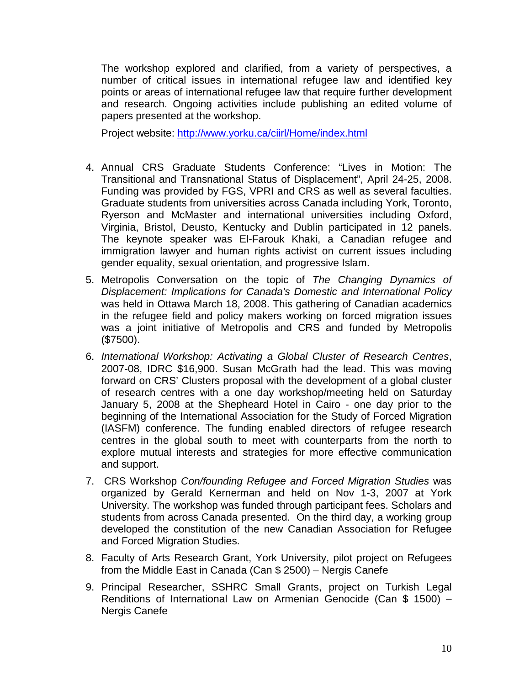The workshop explored and clarified, from a variety of perspectives, a number of critical issues in international refugee law and identified key points or areas of international refugee law that require further development and research. Ongoing activities include publishing an edited volume of papers presented at the workshop.

Project website:<http://www.yorku.ca/ciirl/Home/index.html>

- 4. Annual CRS Graduate Students Conference: "Lives in Motion: The Transitional and Transnational Status of Displacement", April 24-25, 2008. Funding was provided by FGS, VPRI and CRS as well as several faculties. Graduate students from universities across Canada including York, Toronto, Ryerson and McMaster and international universities including Oxford, Virginia, Bristol, Deusto, Kentucky and Dublin participated in 12 panels. The keynote speaker was El-Farouk Khaki, a Canadian refugee and immigration lawyer and human rights activist on current issues including gender equality, sexual orientation, and progressive Islam.
- 5. Metropolis Conversation on the topic of *The Changing Dynamics of Displacement: Implications for Canada's Domestic and International Policy* was held in Ottawa March 18, 2008. This gathering of Canadian academics in the refugee field and policy makers working on forced migration issues was a joint initiative of Metropolis and CRS and funded by Metropolis (\$7500).
- 6. *International Workshop: Activating a Global Cluster of Research Centres*, 2007-08, IDRC \$16,900. Susan McGrath had the lead. This was moving forward on CRS' Clusters proposal with the development of a global cluster of research centres with a one day workshop/meeting held on Saturday January 5, 2008 at the Shepheard Hotel in Cairo - one day prior to the beginning of the International Association for the Study of Forced Migration (IASFM) conference. The funding enabled directors of refugee research centres in the global south to meet with counterparts from the north to explore mutual interests and strategies for more effective communication and support.
- 7. CRS Workshop *Con/founding Refugee and Forced Migration Studies* was organized by Gerald Kernerman and held on Nov 1-3, 2007 at York University. The workshop was funded through participant fees. Scholars and students from across Canada presented. On the third day, a working group developed the constitution of the new Canadian Association for Refugee and Forced Migration Studies.
- 8. Faculty of Arts Research Grant, York University, pilot project on Refugees from the Middle East in Canada (Can \$ 2500) – Nergis Canefe
- 9. Principal Researcher, SSHRC Small Grants, project on Turkish Legal Renditions of International Law on Armenian Genocide (Can \$ 1500) – Nergis Canefe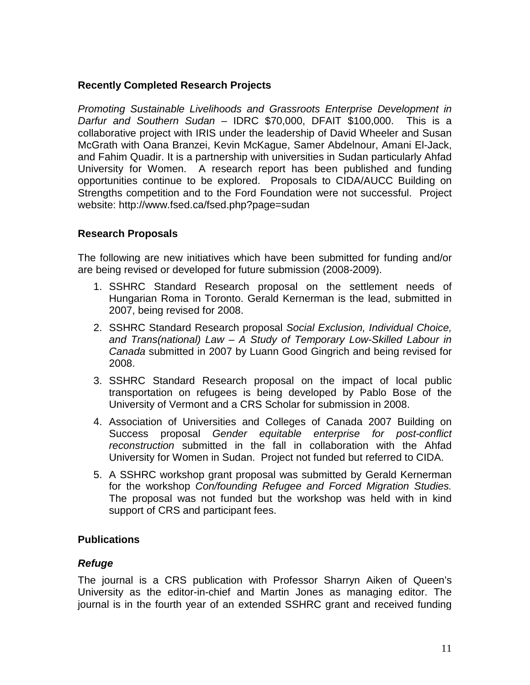#### **Recently Completed Research Projects**

*Promoting Sustainable Livelihoods and Grassroots Enterprise Development in Darfur and Southern Sudan* – IDRC \$70,000, DFAIT \$100,000. This is a collaborative project with IRIS under the leadership of David Wheeler and Susan McGrath with Oana Branzei, Kevin McKague, Samer Abdelnour, Amani El-Jack, and Fahim Quadir. It is a partnership with universities in Sudan particularly Ahfad University for Women. A research report has been published and funding opportunities continue to be explored. Proposals to CIDA/AUCC Building on Strengths competition and to the Ford Foundation were not successful. Project website: http://www.fsed.ca/fsed.php?page=sudan

#### **Research Proposals**

The following are new initiatives which have been submitted for funding and/or are being revised or developed for future submission (2008-2009).

- 1. SSHRC Standard Research proposal on the settlement needs of Hungarian Roma in Toronto. Gerald Kernerman is the lead, submitted in 2007, being revised for 2008.
- 2. SSHRC Standard Research proposal *Social Exclusion, Individual Choice, and Trans(national) Law – A Study of Temporary Low-Skilled Labour in Canada* submitted in 2007 by Luann Good Gingrich and being revised for 2008.
- 3. SSHRC Standard Research proposal on the impact of local public transportation on refugees is being developed by Pablo Bose of the University of Vermont and a CRS Scholar for submission in 2008.
- 4. Association of Universities and Colleges of Canada 2007 Building on Success proposal *Gender equitable enterprise for post-conflict reconstruction* submitted in the fall in collaboration with the Ahfad University for Women in Sudan. Project not funded but referred to CIDA.
- 5. A SSHRC workshop grant proposal was submitted by Gerald Kernerman for the workshop *Con/founding Refugee and Forced Migration Studies.* The proposal was not funded but the workshop was held with in kind support of CRS and participant fees.

#### **Publications**

#### *Refuge*

The journal is a CRS publication with Professor Sharryn Aiken of Queen's University as the editor-in-chief and Martin Jones as managing editor. The journal is in the fourth year of an extended SSHRC grant and received funding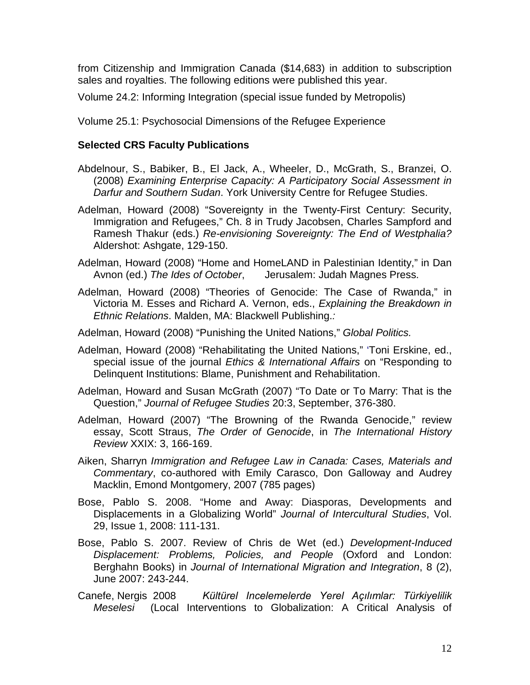from Citizenship and Immigration Canada (\$14,683) in addition to subscription sales and royalties. The following editions were published this year.

Volume 24.2: Informing Integration (special issue funded by Metropolis)

Volume 25.1: Psychosocial Dimensions of the Refugee Experience

#### **Selected CRS Faculty Publications**

- Abdelnour, S., Babiker, B., El Jack, A., Wheeler, D., McGrath, S., Branzei, O. (2008) *Examining Enterprise Capacity: A Participatory Social Assessment in Darfur and Southern Sudan*. York University Centre for Refugee Studies.
- Adelman, Howard (2008) "Sovereignty in the Twenty-First Century: Security, Immigration and Refugees," Ch. 8 in Trudy Jacobsen, Charles Sampford and Ramesh Thakur (eds.) *Re-envisioning Sovereignty: The End of Westphalia?*  Aldershot: Ashgate, 129-150.
- Adelman, Howard (2008) "Home and HomeLAND in Palestinian Identity," in Dan Avnon (ed.) *The Ides of October*, Jerusalem: Judah Magnes Press.
- Adelman, Howard (2008) "Theories of Genocide: The Case of Rwanda," in Victoria M. Esses and Richard A. Vernon, eds., *Explaining the Breakdown in Ethnic Relations*. Malden, MA: Blackwell Publishing.*:*

Adelman, Howard (2008) "Punishing the United Nations," *Global Politics.*

Adelman, Howard (2008) "Rehabilitating the United Nations," 'Toni Erskine, ed., special issue of the journal *Ethics & International Affairs* on "Responding to Delinquent Institutions: Blame, Punishment and Rehabilitation.

Adelman, Howard and Susan McGrath (2007) "To Date or To Marry: That is the Question," *Journal of Refugee Studies* 20:3, September, 376-380.

- Adelman, Howard (2007) "The Browning of the Rwanda Genocide," review essay, Scott Straus, *The Order of Genocide*, in *The International History Review* XXIX: 3, 166-169.
- Aiken, Sharryn *Immigration and Refugee Law in Canada: Cases, Materials and Commentary*, co-authored with Emily Carasco, Don Galloway and Audrey Macklin, Emond Montgomery, 2007 (785 pages)
- Bose, Pablo S. 2008. "Home and Away: Diasporas, Developments and Displacements in a Globalizing World" *Journal of Intercultural Studies*, Vol. 29, Issue 1, 2008: 111-131.
- Bose, Pablo S. 2007. Review of Chris de Wet (ed.) *Development-Induced Displacement: Problems, Policies, and People* (Oxford and London: Berghahn Books) in *Journal of International Migration and Integration*, 8 (2), June 2007: 243-244.
- Canefe, Nergis 2008 *Kültürel Incelemelerde Yerel Açılımlar: Türkiyelilik Meselesi* (Local Interventions to Globalization: A Critical Analysis of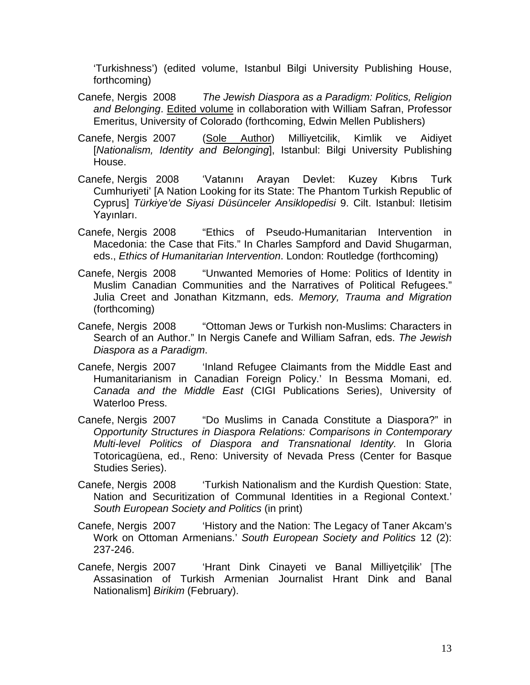'Turkishness') (edited volume, Istanbul Bilgi University Publishing House, forthcoming)

- Canefe, Nergis 2008 *The Jewish Diaspora as a Paradigm: Politics, Religion and Belonging*. Edited volume in collaboration with William Safran, Professor Emeritus, University of Colorado (forthcoming, Edwin Mellen Publishers)
- Canefe, Nergis 2007 (Sole Author) Milliyetcilik, Kimlik ve Aidiyet [*Nationalism, Identity and Belonging*], Istanbul: Bilgi University Publishing House.
- Canefe, Nergis 2008 'Vatanını Arayan Devlet: Kuzey Kıbrıs Turk Cumhuriyeti' [A Nation Looking for its State: The Phantom Turkish Republic of Cyprus] *Türkiye'de Siyasi Düsünceler Ansiklopedisi* 9. Cilt. Istanbul: Iletisim Yayınları.
- Canefe, Nergis 2008 "Ethics of Pseudo-Humanitarian Intervention in Macedonia: the Case that Fits." In Charles Sampford and David Shugarman, eds., *Ethics of Humanitarian Intervention*. London: Routledge (forthcoming)
- Canefe, Nergis 2008 "Unwanted Memories of Home: Politics of Identity in Muslim Canadian Communities and the Narratives of Political Refugees." Julia Creet and Jonathan Kitzmann, eds. *Memory, Trauma and Migration* (forthcoming)
- Canefe, Nergis 2008 "Ottoman Jews or Turkish non-Muslims: Characters in Search of an Author." In Nergis Canefe and William Safran, eds. *The Jewish Diaspora as a Paradigm*.
- Canefe, Nergis 2007 <sup>'</sup>Inland Refugee Claimants from the Middle East and Humanitarianism in Canadian Foreign Policy.' In Bessma Momani, ed. *Canada and the Middle East* (CIGI Publications Series), University of Waterloo Press.
- Canefe, Nergis 2007 "Do Muslims in Canada Constitute a Diaspora?" in *Opportunity Structures in Diaspora Relations: Comparisons in Contemporary Multi-level Politics of Diaspora and Transnational Identity.* In Gloria Totoricagüena, ed., Reno: University of Nevada Press (Center for Basque Studies Series).
- Canefe, Nergis 2008 'Turkish Nationalism and the Kurdish Question: State, Nation and Securitization of Communal Identities in a Regional Context.' *South European Society and Politics* (in print)
- Canefe, Nergis 2007 
<sup>'</sup>History and the Nation: The Legacy of Taner Akcam's Work on Ottoman Armenians.' *South European Society and Politics* 12 (2): 237-246.
- Canefe, Nergis 2007 'Hrant Dink Cinayeti ve Banal Milliyetçilik' [The Assasination of Turkish Armenian Journalist Hrant Dink and Banal Nationalism] *Birikim* (February).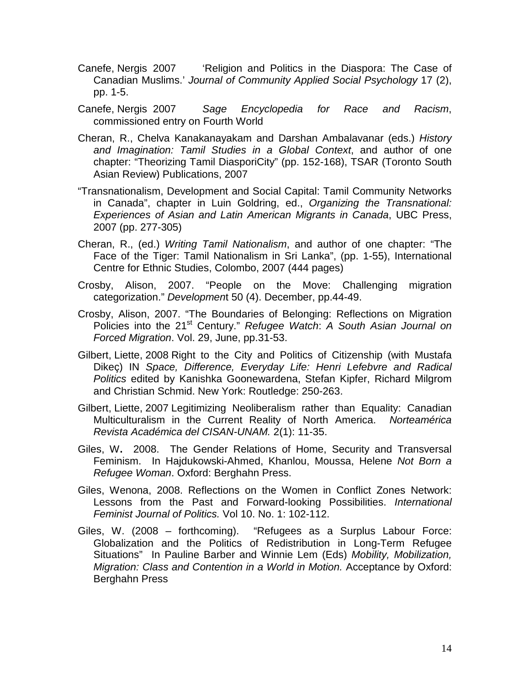- Canefe, Nergis 2007 
<sup>'</sup>Religion and Politics in the Diaspora: The Case of Canadian Muslims.' *Journal of Community Applied Social Psychology* 17 (2), pp. 1-5.
- Canefe, Nergis 2007 *Sage Encyclopedia for Race and Racism*, commissioned entry on Fourth World
- Cheran, R., Chelva Kanakanayakam and Darshan Ambalavanar (eds.) *History and Imagination: Tamil Studies in a Global Context*, and author of one chapter: "Theorizing Tamil DiasporiCity" (pp. 152-168), TSAR (Toronto South Asian Review) Publications, 2007
- "Transnationalism, Development and Social Capital: Tamil Community Networks in Canada", chapter in Luin Goldring, ed., *Organizing the Transnational: Experiences of Asian and Latin American Migrants in Canada*, UBC Press, 2007 (pp. 277-305)
- Cheran, R., (ed.) *Writing Tamil Nationalism*, and author of one chapter: "The Face of the Tiger: Tamil Nationalism in Sri Lanka", (pp. 1-55), International Centre for Ethnic Studies, Colombo, 2007 (444 pages)
- Crosby, Alison, 2007. "People on the Move: Challenging migration categorization." *Developmen*t 50 (4). December, pp.44-49.
- Crosby, Alison, 2007. "The Boundaries of Belonging: Reflections on Migration Policies into the 21st Century." *Refugee Watch*: *A South Asian Journal on Forced Migration*. Vol. 29, June, pp.31-53.
- Gilbert, Liette, 2008 Right to the City and Politics of Citizenship (with Mustafa Dikeç) IN *Space, Difference, Everyday Life: Henri Lefebvre and Radical Politics* edited by Kanishka Goonewardena, Stefan Kipfer, Richard Milgrom and Christian Schmid. New York: Routledge: 250-263.
- Gilbert, Liette, 2007 Legitimizing Neoliberalism rather than Equality: Canadian Multiculturalism in the Current Reality of North America. *Norteamérica Revista Académica del CISAN-UNAM.* 2(1): 11-35.
- Giles, W**.** 2008. The Gender Relations of Home, Security and Transversal Feminism. In Hajdukowski-Ahmed, Khanlou, Moussa, Helene *Not Born a Refugee Woman*. Oxford: Berghahn Press.
- Giles, Wenona, 2008. Reflections on the Women in Conflict Zones Network: Lessons from the Past and Forward-looking Possibilities. *International Feminist Journal of Politics.* Vol 10. No. 1: 102-112.
- Giles, W. (2008 forthcoming). "Refugees as a Surplus Labour Force: Globalization and the Politics of Redistribution in Long-Term Refugee Situations" In Pauline Barber and Winnie Lem (Eds) *Mobility, Mobilization, Migration: Class and Contention in a World in Motion.* Acceptance by Oxford: Berghahn Press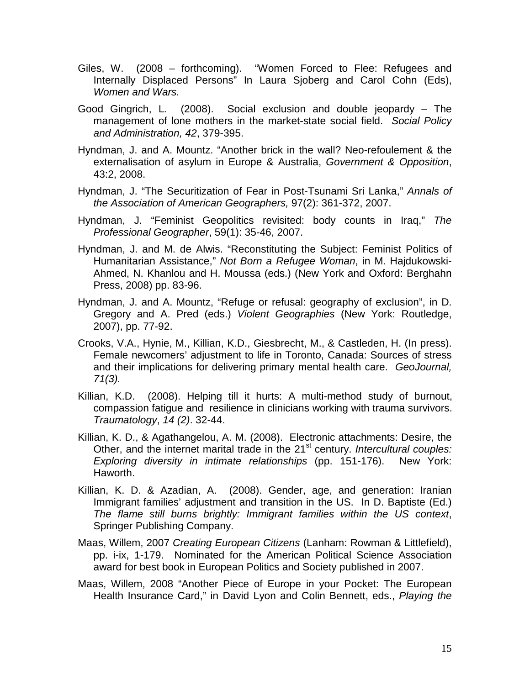- Giles, W. (2008 forthcoming). "Women Forced to Flee: Refugees and Internally Displaced Persons" In Laura Sjoberg and Carol Cohn (Eds), *Women and Wars.*
- Good Gingrich, L*.* (2008).Social exclusion and double jeopardy The management of lone mothers in the market-state social field. *Social Policy and Administration, 42*, 379-395.
- Hyndman, J. and A. Mountz. "Another brick in the wall? Neo-refoulement & the externalisation of asylum in Europe & Australia, *Government & Opposition*, 43:2, 2008.
- Hyndman, J. "The Securitization of Fear in Post-Tsunami Sri Lanka," *Annals of the Association of American Geographers,* 97(2): 361-372, 2007.
- Hyndman, J. "Feminist Geopolitics revisited: body counts in Iraq," *The Professional Geographer*, 59(1): 35-46, 2007.
- Hyndman, J. and M. de Alwis. "Reconstituting the Subject: Feminist Politics of Humanitarian Assistance," *Not Born a Refugee Woman*, in M. Hajdukowski-Ahmed, N. Khanlou and H. Moussa (eds.) (New York and Oxford: Berghahn Press, 2008) pp. 83-96.
- Hyndman, J. and A. Mountz, "Refuge or refusal: geography of exclusion", in D. Gregory and A. Pred (eds.) *Violent Geographies* (New York: Routledge, 2007), pp. 77-92.
- Crooks, V.A., Hynie, M., Killian, K.D., Giesbrecht, M., & Castleden, H. (In press). Female newcomers' adjustment to life in Toronto, Canada: Sources of stress and their implications for delivering primary mental health care. *GeoJournal, 71(3).*
- Killian, K.D. (2008). Helping till it hurts: A multi-method study of burnout, compassion fatigue and resilience in clinicians working with trauma survivors. *Traumatology*, *14 (2)*. 32-44.
- Killian, K. D., & Agathangelou, A. M. (2008). Electronic attachments: Desire, the Other, and the internet marital trade in the 21<sup>st</sup> century. *Intercultural couples: Exploring diversity in intimate relationships* (pp. 151-176). New York: Haworth.
- Killian, K. D. & Azadian, A. (2008). Gender, age, and generation: Iranian Immigrant families' adjustment and transition in the US. In D. Baptiste (Ed.) *The flame still burns brightly: Immigrant families within the US context*, Springer Publishing Company.
- Maas, Willem, 2007 *Creating European Citizens* (Lanham: Rowman & Littlefield), pp. i-ix, 1-179. Nominated for the American Political Science Association award for best book in European Politics and Society published in 2007.
- Maas, Willem, 2008 "Another Piece of Europe in your Pocket: The European Health Insurance Card," in David Lyon and Colin Bennett, eds., *Playing the*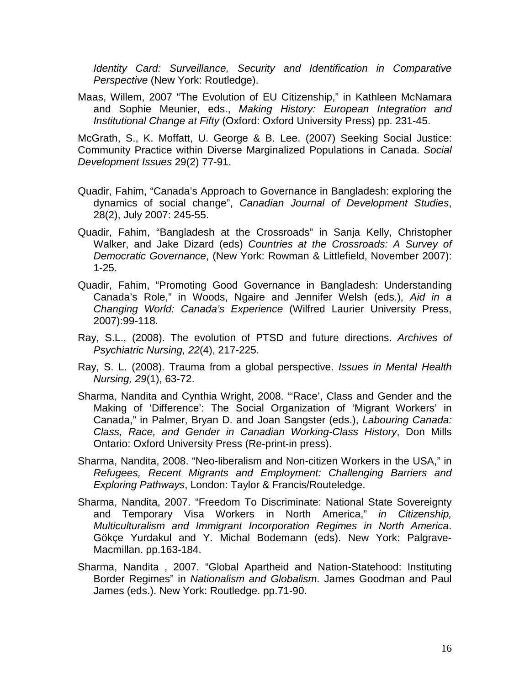*Identity Card: Surveillance, Security and Identification in Comparative Perspective* (New York: Routledge).

Maas, Willem, 2007 "The Evolution of EU Citizenship," in Kathleen McNamara and Sophie Meunier, eds., *Making History: European Integration and Institutional Change at Fifty* (Oxford: Oxford University Press) pp. 231-45.

McGrath, S., K. Moffatt, U. George & B. Lee. (2007) Seeking Social Justice: Community Practice within Diverse Marginalized Populations in Canada. *Social Development Issues* 29(2) 77-91.

- Quadir, Fahim, "Canada's Approach to Governance in Bangladesh: exploring the dynamics of social change", *Canadian Journal of Development Studies*, 28(2), July 2007: 245-55.
- Quadir, Fahim, "Bangladesh at the Crossroads" in Sanja Kelly, Christopher Walker, and Jake Dizard (eds) *Countries at the Crossroads: A Survey of Democratic Governance*, (New York: Rowman & Littlefield, November 2007): 1-25.
- Quadir, Fahim, "Promoting Good Governance in Bangladesh: Understanding Canada's Role," in Woods, Ngaire and Jennifer Welsh (eds.), *Aid in a Changing World: Canada's Experience* (Wilfred Laurier University Press, 2007):99-118.
- Ray, S.L., (2008). The evolution of PTSD and future directions. *Archives of Psychiatric Nursing, 22*(4), 217-225.
- Ray, S. L. (2008). Trauma from a global perspective. *Issues in Mental Health Nursing, 29*(1), 63-72.
- Sharma, Nandita and Cynthia Wright, 2008. "'Race', Class and Gender and the Making of 'Difference': The Social Organization of 'Migrant Workers' in Canada," in Palmer, Bryan D. and Joan Sangster (eds.), *Labouring Canada: Class, Race, and Gender in Canadian Working-Class History*, Don Mills Ontario: Oxford University Press (Re-print-in press).
- Sharma, Nandita, 2008. "Neo-liberalism and Non-citizen Workers in the USA," in *Refugees, Recent Migrants and Employment: Challenging Barriers and Exploring Pathways*, London: Taylor & Francis/Routeledge.
- Sharma, Nandita, 2007. "Freedom To Discriminate: National State Sovereignty and Temporary Visa Workers in North America," *in Citizenship, Multiculturalism and Immigrant Incorporation Regimes in North America*. Gökçe Yurdakul and Y. Michal Bodemann (eds). New York: Palgrave-Macmillan. pp.163-184.
- Sharma, Nandita , 2007. "Global Apartheid and Nation-Statehood: Instituting Border Regimes" in *Nationalism and Globalism*. James Goodman and Paul James (eds.). New York: Routledge. pp.71-90.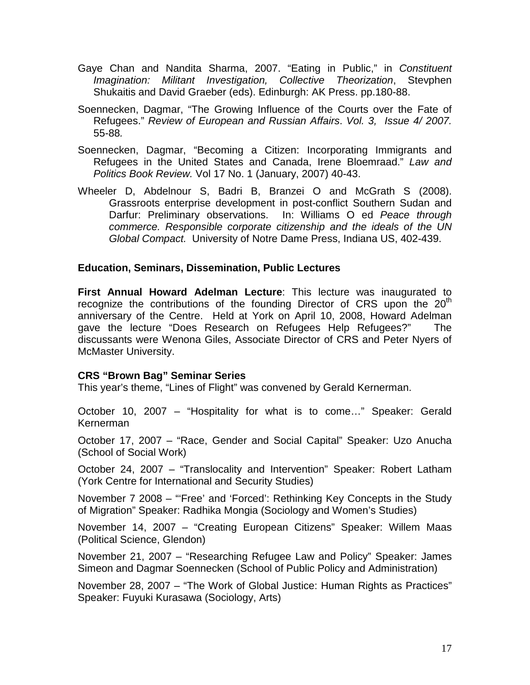- Gaye Chan and Nandita Sharma, 2007. "Eating in Public," in *Constituent Imagination: Militant Investigation, Collective Theorization*, Stevphen Shukaitis and David Graeber (eds). Edinburgh: AK Press. pp.180-88.
- Soennecken, Dagmar, "The Growing Influence of the Courts over the Fate of Refugees." *Review of European and Russian Affairs*. *Vol. 3, Issue 4/ 2007.*  55-88*.*
- Soennecken, Dagmar, "Becoming a Citizen: Incorporating Immigrants and Refugees in the United States and Canada, Irene Bloemraad." *Law and Politics Book Review.* Vol 17 No. 1 (January, 2007) 40-43.
- Wheeler D, Abdelnour S, Badri B, Branzei O and McGrath S (2008). Grassroots enterprise development in post-conflict Southern Sudan and Darfur: Preliminary observations. In: Williams O ed *Peace through commerce. Responsible corporate citizenship and the ideals of the UN Global Compact.* University of Notre Dame Press, Indiana US, 402-439.

#### **Education, Seminars, Dissemination, Public Lectures**

**First Annual Howard Adelman Lecture**: This lecture was inaugurated to recognize the contributions of the founding Director of CRS upon the  $20<sup>th</sup>$ anniversary of the Centre. Held at York on April 10, 2008, Howard Adelman gave the lecture "Does Research on Refugees Help Refugees?" The discussants were Wenona Giles, Associate Director of CRS and Peter Nyers of McMaster University.

#### **CRS "Brown Bag" Seminar Series**

This year's theme, "Lines of Flight" was convened by Gerald Kernerman.

October 10, 2007 – "Hospitality for what is to come…" Speaker: Gerald Kernerman

October 17, 2007 – "Race, Gender and Social Capital" Speaker: Uzo Anucha (School of Social Work)

October 24, 2007 – "Translocality and Intervention" Speaker: Robert Latham (York Centre for International and Security Studies)

November 7 2008 – "'Free' and 'Forced': Rethinking Key Concepts in the Study of Migration" Speaker: Radhika Mongia (Sociology and Women's Studies)

November 14, 2007 – "Creating European Citizens" Speaker: Willem Maas (Political Science, Glendon)

November 21, 2007 – "Researching Refugee Law and Policy" Speaker: James Simeon and Dagmar Soennecken (School of Public Policy and Administration)

November 28, 2007 – "The Work of Global Justice: Human Rights as Practices" Speaker: Fuyuki Kurasawa (Sociology, Arts)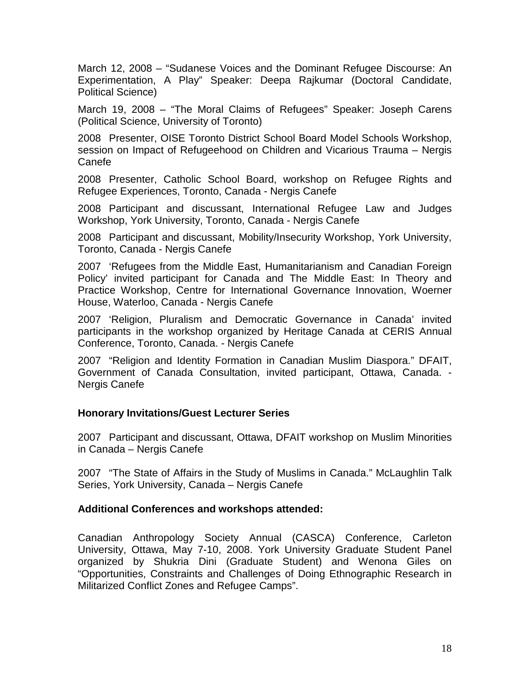March 12, 2008 – "Sudanese Voices and the Dominant Refugee Discourse: An Experimentation, A Play" Speaker: Deepa Rajkumar (Doctoral Candidate, Political Science)

March 19, 2008 – "The Moral Claims of Refugees" Speaker: Joseph Carens (Political Science, University of Toronto)

2008 Presenter, OISE Toronto District School Board Model Schools Workshop, session on Impact of Refugeehood on Children and Vicarious Trauma – Nergis Canefe

2008 Presenter, Catholic School Board, workshop on Refugee Rights and Refugee Experiences, Toronto, Canada - Nergis Canefe

2008 Participant and discussant, International Refugee Law and Judges Workshop, York University, Toronto, Canada - Nergis Canefe

2008 Participant and discussant, Mobility/Insecurity Workshop, York University, Toronto, Canada - Nergis Canefe

2007 'Refugees from the Middle East, Humanitarianism and Canadian Foreign Policy' invited participant for Canada and The Middle East: In Theory and Practice Workshop, Centre for International Governance Innovation, Woerner House, Waterloo, Canada - Nergis Canefe

2007 'Religion, Pluralism and Democratic Governance in Canada' invited participants in the workshop organized by Heritage Canada at CERIS Annual Conference, Toronto, Canada. - Nergis Canefe

2007 "Religion and Identity Formation in Canadian Muslim Diaspora." DFAIT, Government of Canada Consultation, invited participant, Ottawa, Canada. - Nergis Canefe

#### **Honorary Invitations/Guest Lecturer Series**

2007 Participant and discussant, Ottawa, DFAIT workshop on Muslim Minorities in Canada – Nergis Canefe

2007 "The State of Affairs in the Study of Muslims in Canada." McLaughlin Talk Series, York University, Canada – Nergis Canefe

#### **Additional Conferences and workshops attended:**

Canadian Anthropology Society Annual (CASCA) Conference, Carleton University, Ottawa, May 7-10, 2008. York University Graduate Student Panel organized by Shukria Dini (Graduate Student) and Wenona Giles on "Opportunities, Constraints and Challenges of Doing Ethnographic Research in Militarized Conflict Zones and Refugee Camps".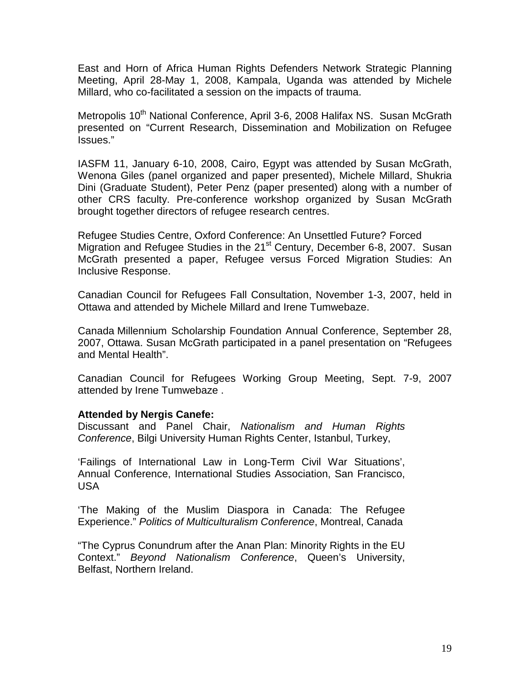East and Horn of Africa Human Rights Defenders Network Strategic Planning Meeting, April 28-May 1, 2008, Kampala, Uganda was attended by Michele Millard, who co-facilitated a session on the impacts of trauma.

Metropolis 10<sup>th</sup> National Conference, April 3-6, 2008 Halifax NS. Susan McGrath presented on "Current Research, Dissemination and Mobilization on Refugee Issues."

IASFM 11, January 6-10, 2008, Cairo, Egypt was attended by Susan McGrath, Wenona Giles (panel organized and paper presented), Michele Millard, Shukria Dini (Graduate Student), Peter Penz (paper presented) along with a number of other CRS faculty. Pre-conference workshop organized by Susan McGrath brought together directors of refugee research centres.

Refugee Studies Centre, Oxford Conference: An Unsettled Future? Forced Migration and Refugee Studies in the 21<sup>st</sup> Century, December 6-8, 2007. Susan McGrath presented a paper, Refugee versus Forced Migration Studies: An Inclusive Response.

Canadian Council for Refugees Fall Consultation, November 1-3, 2007, held in Ottawa and attended by Michele Millard and Irene Tumwebaze.

Canada Millennium Scholarship Foundation Annual Conference, September 28, 2007, Ottawa. Susan McGrath participated in a panel presentation on "Refugees and Mental Health".

Canadian Council for Refugees Working Group Meeting, Sept. 7-9, 2007 attended by Irene Tumwebaze .

#### **Attended by Nergis Canefe:**

Discussant and Panel Chair, *Nationalism and Human Rights Conference*, Bilgi University Human Rights Center, Istanbul, Turkey,

'Failings of International Law in Long-Term Civil War Situations', Annual Conference, International Studies Association, San Francisco, USA

'The Making of the Muslim Diaspora in Canada: The Refugee Experience." *Politics of Multiculturalism Conference*, Montreal, Canada

"The Cyprus Conundrum after the Anan Plan: Minority Rights in the EU Context." *Beyond Nationalism Conference*, Queen's University, Belfast, Northern Ireland.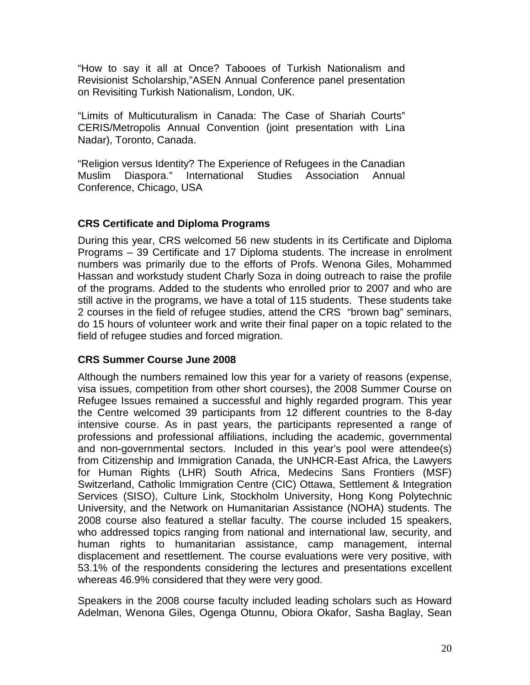"How to say it all at Once? Tabooes of Turkish Nationalism and Revisionist Scholarship,"ASEN Annual Conference panel presentation on Revisiting Turkish Nationalism, London, UK.

"Limits of Multicuturalism in Canada: The Case of Shariah Courts" CERIS/Metropolis Annual Convention (joint presentation with Lina Nadar), Toronto, Canada.

"Religion versus Identity? The Experience of Refugees in the Canadian Muslim Diaspora." International Studies Association Annual Conference, Chicago, USA

#### **CRS Certificate and Diploma Programs**

During this year, CRS welcomed 56 new students in its Certificate and Diploma Programs – 39 Certificate and 17 Diploma students. The increase in enrolment numbers was primarily due to the efforts of Profs. Wenona Giles, Mohammed Hassan and workstudy student Charly Soza in doing outreach to raise the profile of the programs. Added to the students who enrolled prior to 2007 and who are still active in the programs, we have a total of 115 students. These students take 2 courses in the field of refugee studies, attend the CRS "brown bag" seminars, do 15 hours of volunteer work and write their final paper on a topic related to the field of refugee studies and forced migration.

#### **CRS Summer Course June 2008**

Although the numbers remained low this year for a variety of reasons (expense, visa issues, competition from other short courses), the 2008 Summer Course on Refugee Issues remained a successful and highly regarded program. This year the Centre welcomed 39 participants from 12 different countries to the 8-day intensive course. As in past years, the participants represented a range of professions and professional affiliations, including the academic, governmental and non-governmental sectors. Included in this year's pool were attendee(s) from Citizenship and Immigration Canada, the UNHCR-East Africa, the Lawyers for Human Rights (LHR) South Africa, Medecins Sans Frontiers (MSF) Switzerland, Catholic Immigration Centre (CIC) Ottawa, Settlement & Integration Services (SISO), Culture Link, Stockholm University, Hong Kong Polytechnic University, and the Network on Humanitarian Assistance (NOHA) students. The 2008 course also featured a stellar faculty. The course included 15 speakers, who addressed topics ranging from national and international law, security, and human rights to humanitarian assistance, camp management, internal displacement and resettlement. The course evaluations were very positive, with 53.1% of the respondents considering the lectures and presentations excellent whereas 46.9% considered that they were very good.

Speakers in the 2008 course faculty included leading scholars such as Howard Adelman, Wenona Giles, Ogenga Otunnu, Obiora Okafor, Sasha Baglay, Sean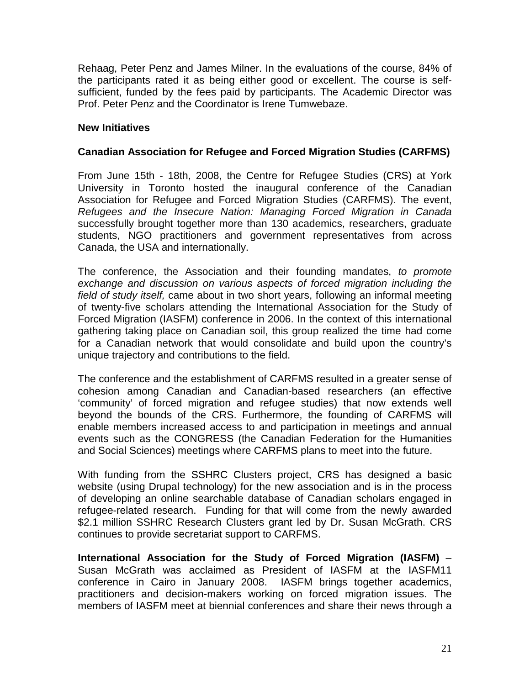Rehaag, Peter Penz and James Milner. In the evaluations of the course, 84% of the participants rated it as being either good or excellent. The course is selfsufficient, funded by the fees paid by participants. The Academic Director was Prof. Peter Penz and the Coordinator is Irene Tumwebaze.

#### **New Initiatives**

#### **Canadian Association for Refugee and Forced Migration Studies (CARFMS)**

From June 15th - 18th, 2008, the Centre for Refugee Studies (CRS) at York University in Toronto hosted the inaugural conference of the Canadian Association for Refugee and Forced Migration Studies (CARFMS). The event, *Refugees and the Insecure Nation: Managing Forced Migration in Canada* successfully brought together more than 130 academics, researchers, graduate students, NGO practitioners and government representatives from across Canada, the USA and internationally.

The conference, the Association and their founding mandates, *to promote exchange and discussion on various aspects of forced migration including the field of study itself,* came about in two short years, following an informal meeting of twenty-five scholars attending the International Association for the Study of Forced Migration (IASFM) conference in 2006. In the context of this international gathering taking place on Canadian soil, this group realized the time had come for a Canadian network that would consolidate and build upon the country's unique trajectory and contributions to the field.

The conference and the establishment of CARFMS resulted in a greater sense of cohesion among Canadian and Canadian-based researchers (an effective 'community' of forced migration and refugee studies) that now extends well beyond the bounds of the CRS. Furthermore, the founding of CARFMS will enable members increased access to and participation in meetings and annual events such as the CONGRESS (the Canadian Federation for the Humanities and Social Sciences) meetings where CARFMS plans to meet into the future.

With funding from the SSHRC Clusters project, CRS has designed a basic website (using Drupal technology) for the new association and is in the process of developing an online searchable database of Canadian scholars engaged in refugee-related research. Funding for that will come from the newly awarded \$2.1 million SSHRC Research Clusters grant led by Dr. Susan McGrath. CRS continues to provide secretariat support to CARFMS.

**International Association for the Study of Forced Migration (IASFM)** – Susan McGrath was acclaimed as President of IASFM at the IASFM11 conference in Cairo in January 2008. IASFM brings together academics, practitioners and decision-makers working on forced migration issues. The members of IASFM meet at biennial conferences and share their news through a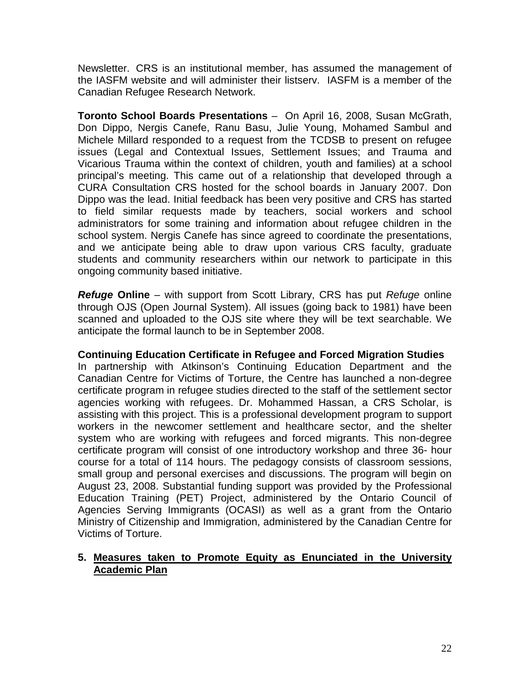Newsletter. CRS is an institutional member, has assumed the management of the IASFM website and will administer their listserv. IASFM is a member of the Canadian Refugee Research Network.

**Toronto School Boards Presentations** – On April 16, 2008, Susan McGrath, Don Dippo, Nergis Canefe, Ranu Basu, Julie Young, Mohamed Sambul and Michele Millard responded to a request from the TCDSB to present on refugee issues (Legal and Contextual Issues, Settlement Issues; and Trauma and Vicarious Trauma within the context of children, youth and families) at a school principal's meeting. This came out of a relationship that developed through a CURA Consultation CRS hosted for the school boards in January 2007. Don Dippo was the lead. Initial feedback has been very positive and CRS has started to field similar requests made by teachers, social workers and school administrators for some training and information about refugee children in the school system. Nergis Canefe has since agreed to coordinate the presentations, and we anticipate being able to draw upon various CRS faculty, graduate students and community researchers within our network to participate in this ongoing community based initiative.

*Refuge* **Online** – with support from Scott Library, CRS has put *Refuge* online through OJS (Open Journal System). All issues (going back to 1981) have been scanned and uploaded to the OJS site where they will be text searchable. We anticipate the formal launch to be in September 2008.

#### **Continuing Education Certificate in Refugee and Forced Migration Studies**

In partnership with Atkinson's Continuing Education Department and the Canadian Centre for Victims of Torture, the Centre has launched a non-degree certificate program in refugee studies directed to the staff of the settlement sector agencies working with refugees. Dr. Mohammed Hassan, a CRS Scholar, is assisting with this project. This is a professional development program to support workers in the newcomer settlement and healthcare sector, and the shelter system who are working with refugees and forced migrants. This non-degree certificate program will consist of one introductory workshop and three 36- hour course for a total of 114 hours. The pedagogy consists of classroom sessions, small group and personal exercises and discussions. The program will begin on August 23, 2008. Substantial funding support was provided by the Professional Education Training (PET) Project, administered by the Ontario Council of Agencies Serving Immigrants (OCASI) as well as a grant from the Ontario Ministry of Citizenship and Immigration, administered by the Canadian Centre for Victims of Torture.

#### **5. Measures taken to Promote Equity as Enunciated in the University Academic Plan**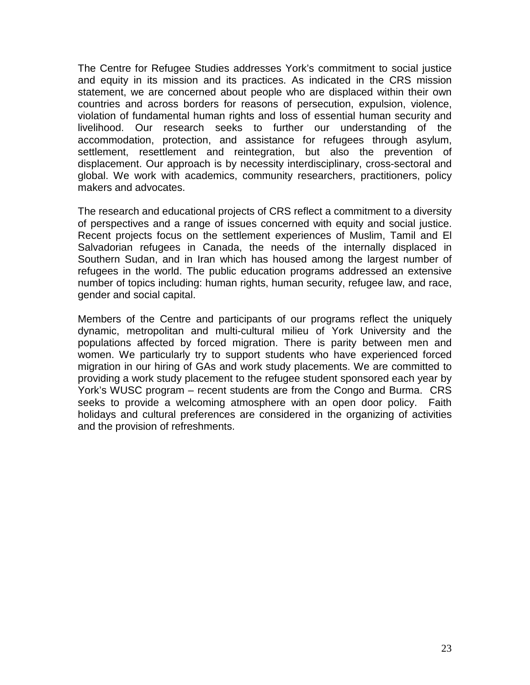The Centre for Refugee Studies addresses York's commitment to social justice and equity in its mission and its practices. As indicated in the CRS mission statement, we are concerned about people who are displaced within their own countries and across borders for reasons of persecution, expulsion, violence, violation of fundamental human rights and loss of essential human security and livelihood. Our research seeks to further our understanding of the accommodation, protection, and assistance for refugees through asylum, settlement, resettlement and reintegration, but also the prevention of displacement. Our approach is by necessity interdisciplinary, cross-sectoral and global. We work with academics, community researchers, practitioners, policy makers and advocates.

The research and educational projects of CRS reflect a commitment to a diversity of perspectives and a range of issues concerned with equity and social justice. Recent projects focus on the settlement experiences of Muslim, Tamil and El Salvadorian refugees in Canada, the needs of the internally displaced in Southern Sudan, and in Iran which has housed among the largest number of refugees in the world. The public education programs addressed an extensive number of topics including: human rights, human security, refugee law, and race, gender and social capital.

Members of the Centre and participants of our programs reflect the uniquely dynamic, metropolitan and multi-cultural milieu of York University and the populations affected by forced migration. There is parity between men and women. We particularly try to support students who have experienced forced migration in our hiring of GAs and work study placements. We are committed to providing a work study placement to the refugee student sponsored each year by York's WUSC program – recent students are from the Congo and Burma. CRS seeks to provide a welcoming atmosphere with an open door policy. Faith holidays and cultural preferences are considered in the organizing of activities and the provision of refreshments.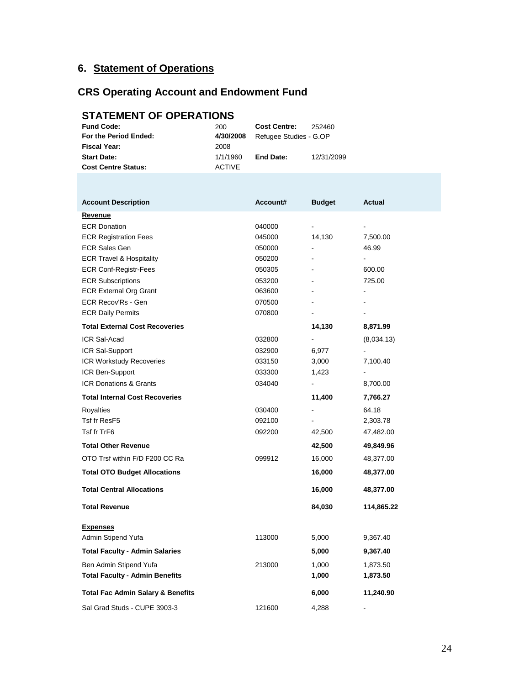## **6. Statement of Operations**

## **CRS Operating Account and Endowment Fund**

## **STATEMENT OF OPERATIONS**

| <b>Fund Code:</b>          | 200           | <b>Cost Centre:</b>    | 252460     |
|----------------------------|---------------|------------------------|------------|
| For the Period Ended:      | 4/30/2008     | Refugee Studies - G.OP |            |
| <b>Fiscal Year:</b>        | 2008          |                        |            |
| <b>Start Date:</b>         | 1/1/1960      | End Date:              | 12/31/2099 |
| <b>Cost Centre Status:</b> | <b>ACTIVE</b> |                        |            |

| <b>Account Description</b>                   | Account# | <b>Budget</b>  | Actual     |
|----------------------------------------------|----------|----------------|------------|
| <b>Revenue</b>                               |          |                |            |
| <b>ECR Donation</b>                          | 040000   | $\overline{a}$ |            |
| <b>ECR Registration Fees</b>                 | 045000   | 14,130         | 7,500.00   |
| <b>ECR Sales Gen</b>                         | 050000   | $\frac{1}{2}$  | 46.99      |
| <b>ECR Travel &amp; Hospitality</b>          | 050200   | $\frac{1}{2}$  |            |
| <b>ECR Conf-Registr-Fees</b>                 | 050305   | ÷.             | 600.00     |
| <b>ECR Subscriptions</b>                     | 053200   | ä,             | 725.00     |
| <b>ECR External Org Grant</b>                | 063600   | $\blacksquare$ |            |
| ECR Recov'Rs - Gen                           | 070500   | L.             |            |
| <b>ECR Daily Permits</b>                     | 070800   |                |            |
| <b>Total External Cost Recoveries</b>        |          | 14,130         | 8,871.99   |
| ICR Sal-Acad                                 | 032800   | $\blacksquare$ | (8,034.13) |
| ICR Sal-Support                              | 032900   | 6,977          |            |
| ICR Workstudy Recoveries                     | 033150   | 3,000          | 7,100.40   |
| ICR Ben-Support                              | 033300   | 1,423          |            |
| <b>ICR Donations &amp; Grants</b>            | 034040   | ۰              | 8,700.00   |
| <b>Total Internal Cost Recoveries</b>        |          | 11,400         | 7,766.27   |
| <b>Royalties</b>                             | 030400   | $\blacksquare$ | 64.18      |
| Tsf fr ResF5                                 | 092100   | $\blacksquare$ | 2,303.78   |
| Tsf fr TrF6                                  | 092200   | 42,500         | 47,482.00  |
| <b>Total Other Revenue</b>                   |          | 42,500         | 49,849.96  |
| OTO Trsf within F/D F200 CC Ra               | 099912   | 16,000         | 48,377.00  |
| <b>Total OTO Budget Allocations</b>          |          | 16,000         | 48,377.00  |
| <b>Total Central Allocations</b>             |          | 16,000         | 48,377.00  |
| <b>Total Revenue</b>                         |          | 84,030         | 114,865.22 |
| <b>Expenses</b>                              |          |                |            |
| Admin Stipend Yufa                           | 113000   | 5,000          | 9,367.40   |
| <b>Total Faculty - Admin Salaries</b>        |          | 5,000          | 9,367.40   |
| Ben Admin Stipend Yufa                       | 213000   | 1,000          | 1,873.50   |
| <b>Total Faculty - Admin Benefits</b>        |          | 1,000          | 1,873.50   |
| <b>Total Fac Admin Salary &amp; Benefits</b> |          | 6,000          | 11,240.90  |
| Sal Grad Studs - CUPE 3903-3                 | 121600   | 4,288          |            |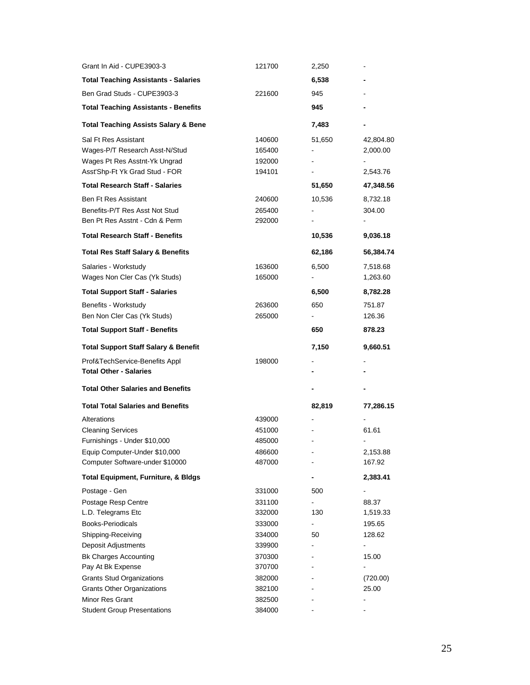| Grant In Aid - CUPE3903-3                             | 121700           | 2,250                    |                |
|-------------------------------------------------------|------------------|--------------------------|----------------|
| <b>Total Teaching Assistants - Salaries</b>           |                  | 6,538                    |                |
| Ben Grad Studs - CUPE3903-3                           | 221600           | 945                      |                |
| <b>Total Teaching Assistants - Benefits</b>           |                  | 945                      |                |
| <b>Total Teaching Assists Salary &amp; Bene</b>       |                  | 7,483                    |                |
| Sal Ft Res Assistant                                  | 140600           | 51,650                   | 42,804.80      |
| Wages-P/T Research Asst-N/Stud                        | 165400           |                          | 2,000.00       |
| Wages Pt Res Asstnt-Yk Ungrad                         | 192000           | $\overline{\phantom{0}}$ |                |
| Asst'Shp-Ft Yk Grad Stud - FOR                        | 194101           | -                        | 2,543.76       |
| <b>Total Research Staff - Salaries</b>                |                  | 51,650                   | 47,348.56      |
| <b>Ben Ft Res Assistant</b>                           | 240600           | 10,536                   | 8,732.18       |
| Benefits-P/T Res Asst Not Stud                        | 265400           |                          | 304.00         |
| Ben Pt Res Asstnt - Cdn & Perm                        | 292000           |                          |                |
| <b>Total Research Staff - Benefits</b>                |                  | 10,536                   | 9,036.18       |
| <b>Total Res Staff Salary &amp; Benefits</b>          |                  | 62,186                   | 56,384.74      |
| Salaries - Workstudy                                  | 163600           | 6,500                    | 7,518.68       |
| Wages Non Cler Cas (Yk Studs)                         | 165000           |                          | 1,263.60       |
| <b>Total Support Staff - Salaries</b>                 |                  | 6,500                    | 8,782.28       |
| Benefits - Workstudy                                  | 263600           | 650                      | 751.87         |
| Ben Non Cler Cas (Yk Studs)                           | 265000           | ۰.                       | 126.36         |
| <b>Total Support Staff - Benefits</b>                 |                  | 650                      | 878.23         |
| <b>Total Support Staff Salary &amp; Benefit</b>       |                  | 7,150                    | 9,660.51       |
| Prof&TechService-Benefits Appl                        | 198000           |                          |                |
|                                                       |                  |                          |                |
| <b>Total Other - Salaries</b>                         |                  |                          |                |
| <b>Total Other Salaries and Benefits</b>              |                  |                          |                |
| <b>Total Total Salaries and Benefits</b>              |                  | 82,819                   | 77,286.15      |
| Alterations                                           | 439000           |                          |                |
| <b>Cleaning Services</b>                              | 451000           |                          | 61.61          |
| Furnishings - Under \$10,000                          | 485000           |                          |                |
| Equip Computer-Under \$10,000                         | 486600           |                          | 2,153.88       |
| Computer Software-under \$10000                       | 487000           |                          | 167.92         |
| <b>Total Equipment, Furniture, &amp; Bldgs</b>        |                  |                          | 2,383.41       |
| Postage - Gen                                         | 331000           | 500                      |                |
| Postage Resp Centre                                   | 331100           |                          | 88.37          |
| L.D. Telegrams Etc                                    | 332000           | 130                      | 1,519.33       |
| Books-Periodicals                                     | 333000           | $\overline{\phantom{0}}$ | 195.65         |
| Shipping-Receiving                                    | 334000           | 50                       | 128.62         |
| Deposit Adjustments                                   | 339900           | -                        | $\blacksquare$ |
| <b>Bk Charges Accounting</b>                          | 370300           |                          | 15.00          |
| Pay At Bk Expense                                     | 370700           |                          |                |
| <b>Grants Stud Organizations</b>                      | 382000           |                          | (720.00)       |
| <b>Grants Other Organizations</b>                     | 382100           |                          | 25.00          |
| Minor Res Grant<br><b>Student Group Presentations</b> | 382500<br>384000 |                          |                |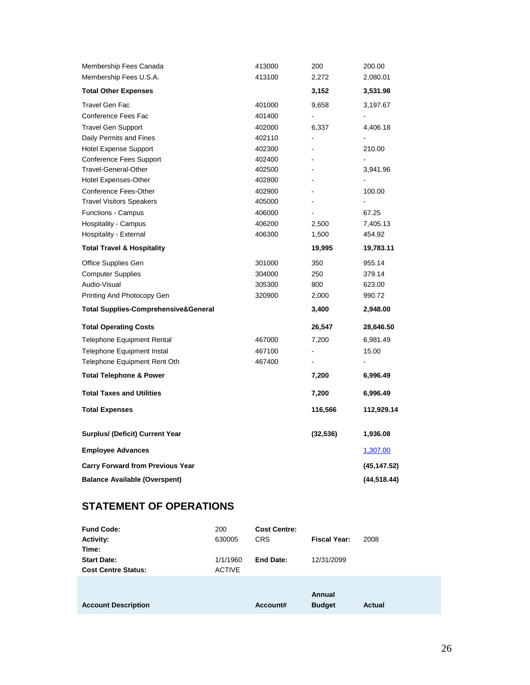| Membership Fees Canada                          | 413000 | 200            | 200.00       |
|-------------------------------------------------|--------|----------------|--------------|
| Membership Fees U.S.A.                          | 413100 | 2,272          | 2,080.01     |
| <b>Total Other Expenses</b>                     |        | 3,152          | 3,531.98     |
| Travel Gen Fac                                  | 401000 | 9,658          | 3,197.67     |
| Conference Fees Fac                             | 401400 |                |              |
| <b>Travel Gen Support</b>                       | 402000 | 6,337          | 4,406.18     |
| Daily Permits and Fines                         | 402110 |                |              |
| <b>Hotel Expense Support</b>                    | 402300 |                | 210.00       |
| <b>Conference Fees Support</b>                  | 402400 | $\blacksquare$ |              |
| <b>Travel-General-Other</b>                     | 402500 |                | 3,941.96     |
| Hotel Expenses-Other                            | 402800 |                |              |
| Conference Fees-Other                           | 402900 |                | 100.00       |
| <b>Travel Visitors Speakers</b>                 | 405000 |                |              |
| <b>Functions - Campus</b>                       | 406000 |                | 67.25        |
| Hospitality - Campus                            | 406200 | 2,500          | 7,405.13     |
| Hospitality - External                          | 406300 | 1,500          | 454.92       |
| <b>Total Travel &amp; Hospitality</b>           |        | 19,995         | 19,783.11    |
| Office Supplies Gen                             | 301000 | 350            | 955.14       |
| <b>Computer Supplies</b>                        | 304000 | 250            | 379.14       |
| Audio-Visual                                    | 305300 | 800            | 623.00       |
| Printing And Photocopy Gen                      | 320900 | 2,000          | 990.72       |
| <b>Total Supplies-Comprehensive&amp;General</b> |        | 3,400          | 2,948.00     |
| <b>Total Operating Costs</b>                    |        | 26,547         | 28,646.50    |
| <b>Telephone Equipment Rental</b>               | 467000 | 7,200          | 6,981.49     |
| Telephone Equipment Instal                      | 467100 |                | 15.00        |
| Telephone Equipment Rent Oth                    | 467400 |                |              |
| <b>Total Telephone &amp; Power</b>              |        | 7,200          | 6,996.49     |
| <b>Total Taxes and Utilities</b>                |        | 7,200          | 6,996.49     |
| <b>Total Expenses</b>                           |        | 116,566        | 112,929.14   |
| <b>Surplus/ (Deficit) Current Year</b>          |        | (32, 536)      | 1,936.08     |
| <b>Employee Advances</b>                        |        |                | 1,307.00     |
| <b>Carry Forward from Previous Year</b>         |        |                | (45, 147.52) |
| <b>Balance Available (Overspent)</b>            |        |                | (44,518.44)  |

## **STATEMENT OF OPERATIONS**

| <b>Fund Code:</b>          | 200           | <b>Cost Centre:</b> |               |               |
|----------------------------|---------------|---------------------|---------------|---------------|
| <b>Activity:</b>           | 630005        | <b>CRS</b>          | Fiscal Year:  | 2008          |
| Time:                      |               |                     |               |               |
| <b>Start Date:</b>         | 1/1/1960      | End Date:           | 12/31/2099    |               |
| <b>Cost Centre Status:</b> | <b>ACTIVE</b> |                     |               |               |
|                            |               |                     |               |               |
|                            |               |                     | Annual        |               |
| <b>Account Description</b> |               | Account#            | <b>Budget</b> | <b>Actual</b> |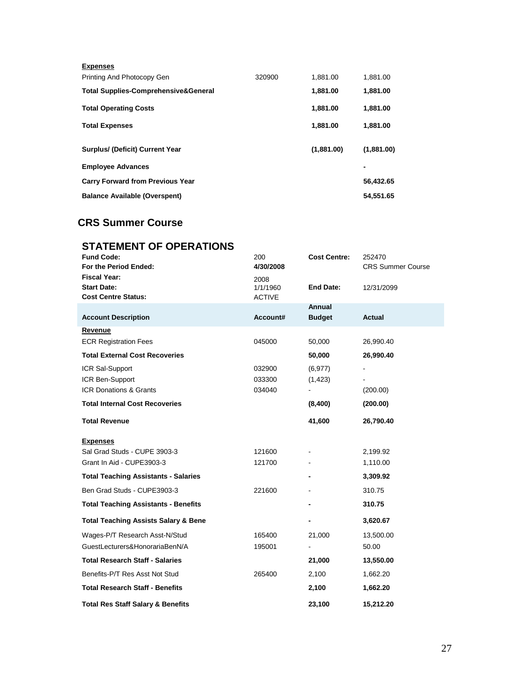| 320900 | 1,881.00   | 1,881.00   |
|--------|------------|------------|
|        | 1,881.00   | 1,881.00   |
|        | 1,881.00   | 1,881.00   |
|        | 1,881.00   | 1,881.00   |
|        | (1,881.00) | (1,881.00) |
|        |            | ٠          |
|        |            | 56,432.65  |
|        |            | 54,551.65  |
|        |            |            |

## **CRS Summer Course**

| <b>STATEMENT OF OPERATIONS</b>                  |               |                     |                          |
|-------------------------------------------------|---------------|---------------------|--------------------------|
| <b>Fund Code:</b>                               | 200           | <b>Cost Centre:</b> | 252470                   |
| For the Period Ended:                           | 4/30/2008     |                     | <b>CRS Summer Course</b> |
| <b>Fiscal Year:</b>                             | 2008          |                     |                          |
| <b>Start Date:</b>                              | 1/1/1960      | <b>End Date:</b>    | 12/31/2099               |
| <b>Cost Centre Status:</b>                      | <b>ACTIVE</b> | Annual              |                          |
| <b>Account Description</b>                      | Account#      | <b>Budget</b>       | Actual                   |
| Revenue                                         |               |                     |                          |
| <b>ECR Registration Fees</b>                    | 045000        | 50,000              | 26,990.40                |
| <b>Total External Cost Recoveries</b>           |               | 50,000              | 26,990.40                |
| ICR Sal-Support                                 | 032900        | (6, 977)            |                          |
| ICR Ben-Support                                 | 033300        | (1, 423)            |                          |
| <b>ICR Donations &amp; Grants</b>               | 034040        |                     | (200.00)                 |
| <b>Total Internal Cost Recoveries</b>           |               | (8,400)             | (200.00)                 |
| <b>Total Revenue</b>                            |               | 41,600              | 26,790.40                |
| <b>Expenses</b>                                 |               |                     |                          |
| Sal Grad Studs - CUPE 3903-3                    | 121600        |                     | 2,199.92                 |
| Grant In Aid - CUPE3903-3                       | 121700        |                     | 1,110.00                 |
| <b>Total Teaching Assistants - Salaries</b>     |               |                     | 3,309.92                 |
| Ben Grad Studs - CUPE3903-3                     | 221600        |                     | 310.75                   |
| <b>Total Teaching Assistants - Benefits</b>     |               |                     | 310.75                   |
| <b>Total Teaching Assists Salary &amp; Bene</b> |               |                     | 3,620.67                 |
| Wages-P/T Research Asst-N/Stud                  | 165400        | 21,000              | 13,500.00                |
| GuestLecturers&HonorariaBenN/A                  | 195001        |                     | 50.00                    |
| <b>Total Research Staff - Salaries</b>          |               | 21,000              | 13,550.00                |
| Benefits-P/T Res Asst Not Stud                  | 265400        | 2,100               | 1,662.20                 |
| <b>Total Research Staff - Benefits</b>          |               | 2,100               | 1,662.20                 |
| <b>Total Res Staff Salary &amp; Benefits</b>    |               | 23,100              | 15,212.20                |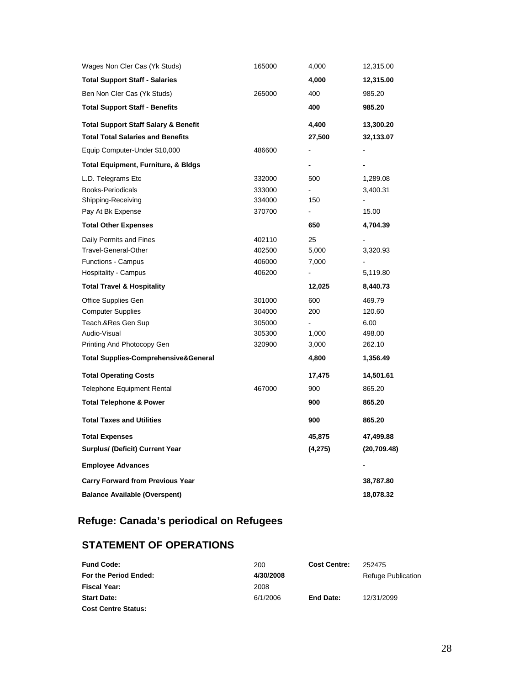| Wages Non Cler Cas (Yk Studs)                   | 165000 | 4,000          | 12,315.00    |
|-------------------------------------------------|--------|----------------|--------------|
| <b>Total Support Staff - Salaries</b>           |        | 4,000          | 12,315.00    |
| Ben Non Cler Cas (Yk Studs)                     | 265000 | 400            | 985.20       |
| <b>Total Support Staff - Benefits</b>           |        | 400            | 985.20       |
| <b>Total Support Staff Salary &amp; Benefit</b> |        | 4,400          | 13,300.20    |
| <b>Total Total Salaries and Benefits</b>        |        | 27,500         | 32,133.07    |
| Equip Computer-Under \$10,000                   | 486600 |                |              |
| Total Equipment, Furniture, & Bldgs             |        |                |              |
| L.D. Telegrams Etc                              | 332000 | 500            | 1,289.08     |
| Books-Periodicals                               | 333000 |                | 3,400.31     |
| Shipping-Receiving                              | 334000 | 150            |              |
| Pay At Bk Expense                               | 370700 | -              | 15.00        |
| <b>Total Other Expenses</b>                     |        | 650            | 4,704.39     |
| Daily Permits and Fines                         | 402110 | 25             |              |
| <b>Travel-General-Other</b>                     | 402500 | 5,000          | 3,320.93     |
| <b>Functions - Campus</b>                       | 406000 | 7,000          |              |
| Hospitality - Campus                            | 406200 | $\blacksquare$ | 5,119.80     |
|                                                 |        |                |              |
| <b>Total Travel &amp; Hospitality</b>           |        | 12,025         | 8,440.73     |
| Office Supplies Gen                             | 301000 | 600            | 469.79       |
| <b>Computer Supplies</b>                        | 304000 | 200            | 120.60       |
| Teach.&Res Gen Sup                              | 305000 |                | 6.00         |
| Audio-Visual                                    | 305300 | 1,000          | 498.00       |
| Printing And Photocopy Gen                      | 320900 | 3,000          | 262.10       |
| <b>Total Supplies-Comprehensive&amp;General</b> |        | 4,800          | 1,356.49     |
| <b>Total Operating Costs</b>                    |        | 17,475         | 14,501.61    |
| <b>Telephone Equipment Rental</b>               | 467000 | 900            | 865.20       |
| <b>Total Telephone &amp; Power</b>              |        | 900            | 865.20       |
| <b>Total Taxes and Utilities</b>                |        | 900            | 865.20       |
| <b>Total Expenses</b>                           |        | 45,875         | 47,499.88    |
| <b>Surplus/ (Deficit) Current Year</b>          |        | (4,275)        | (20, 709.48) |
| <b>Employee Advances</b>                        |        |                |              |
| <b>Carry Forward from Previous Year</b>         |        |                | 38,787.80    |

# **Refuge: Canada's periodical on Refugees**

## **STATEMENT OF OPERATIONS**

| <b>Fund Code:</b>          | 200       | <b>Cost Centre:</b> | 252475             |
|----------------------------|-----------|---------------------|--------------------|
| For the Period Ended:      | 4/30/2008 |                     | Refuge Publication |
| Fiscal Year:               | 2008      |                     |                    |
| <b>Start Date:</b>         | 6/1/2006  | End Date:           | 12/31/2099         |
| <b>Cost Centre Status:</b> |           |                     |                    |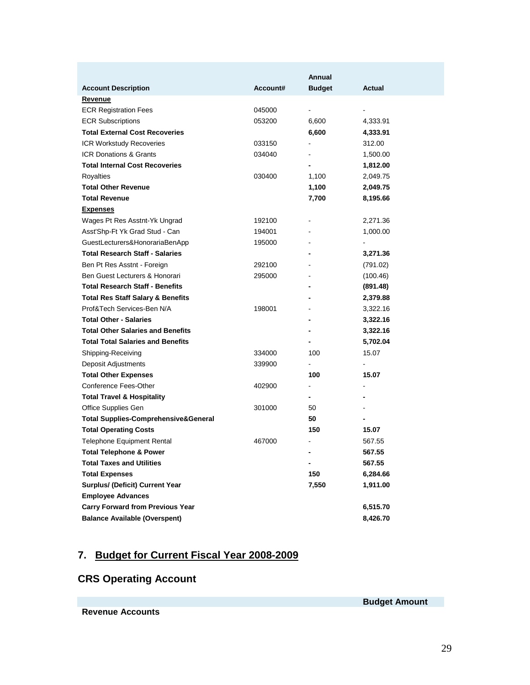|                                                 |          | Annual         |                          |
|-------------------------------------------------|----------|----------------|--------------------------|
| <b>Account Description</b>                      | Account# | <b>Budget</b>  | Actual                   |
| Revenue                                         |          |                |                          |
| <b>ECR Registration Fees</b>                    | 045000   | ÷.             |                          |
| <b>ECR Subscriptions</b>                        | 053200   | 6,600          | 4,333.91                 |
| <b>Total External Cost Recoveries</b>           |          | 6,600          | 4,333.91                 |
| <b>ICR Workstudy Recoveries</b>                 | 033150   | ÷              | 312.00                   |
| <b>ICR Donations &amp; Grants</b>               | 034040   |                | 1,500.00                 |
| <b>Total Internal Cost Recoveries</b>           |          |                | 1,812.00                 |
| Royalties                                       | 030400   | 1,100          | 2,049.75                 |
| <b>Total Other Revenue</b>                      |          | 1,100          | 2,049.75                 |
| <b>Total Revenue</b>                            |          | 7,700          | 8,195.66                 |
| <b>Expenses</b>                                 |          |                |                          |
| Wages Pt Res Asstnt-Yk Ungrad                   | 192100   |                | 2,271.36                 |
| Asst'Shp-Ft Yk Grad Stud - Can                  | 194001   | $\blacksquare$ | 1,000.00                 |
| GuestLecturers&HonorariaBenApp                  | 195000   |                |                          |
| <b>Total Research Staff - Salaries</b>          |          |                | 3,271.36                 |
| Ben Pt Res Asstnt - Foreign                     | 292100   |                | (791.02)                 |
| Ben Guest Lecturers & Honorari                  | 295000   | $\blacksquare$ | (100.46)                 |
| <b>Total Research Staff - Benefits</b>          |          |                | (891.48)                 |
| <b>Total Res Staff Salary &amp; Benefits</b>    |          |                | 2,379.88                 |
| Prof&Tech Services-Ben N/A                      | 198001   |                | 3,322.16                 |
| <b>Total Other - Salaries</b>                   |          | -              | 3,322.16                 |
| <b>Total Other Salaries and Benefits</b>        |          |                | 3,322.16                 |
| <b>Total Total Salaries and Benefits</b>        |          |                | 5,702.04                 |
| Shipping-Receiving                              | 334000   | 100            | 15.07                    |
| Deposit Adjustments                             | 339900   |                | $\overline{\phantom{0}}$ |
| <b>Total Other Expenses</b>                     |          | 100            | 15.07                    |
| Conference Fees-Other                           | 402900   |                |                          |
| <b>Total Travel &amp; Hospitality</b>           |          | -              |                          |
| Office Supplies Gen                             | 301000   | 50             |                          |
| <b>Total Supplies-Comprehensive&amp;General</b> |          | 50             | -                        |
| <b>Total Operating Costs</b>                    |          | 150            | 15.07                    |
| Telephone Equipment Rental                      | 467000   |                | 567.55                   |
| <b>Total Telephone &amp; Power</b>              |          | -              | 567.55                   |
| <b>Total Taxes and Utilities</b>                |          |                | 567.55                   |
| <b>Total Expenses</b>                           |          | 150            | 6,284.66                 |
| Surplus/ (Deficit) Current Year                 |          | 7,550          | 1,911.00                 |
| <b>Employee Advances</b>                        |          |                |                          |
| <b>Carry Forward from Previous Year</b>         |          |                | 6,515.70                 |
| <b>Balance Available (Overspent)</b>            |          |                | 8,426.70                 |

## **7. Budget for Current Fiscal Year 2008-2009**

## **CRS Operating Account**

**Revenue Accounts**

**Budget Amount**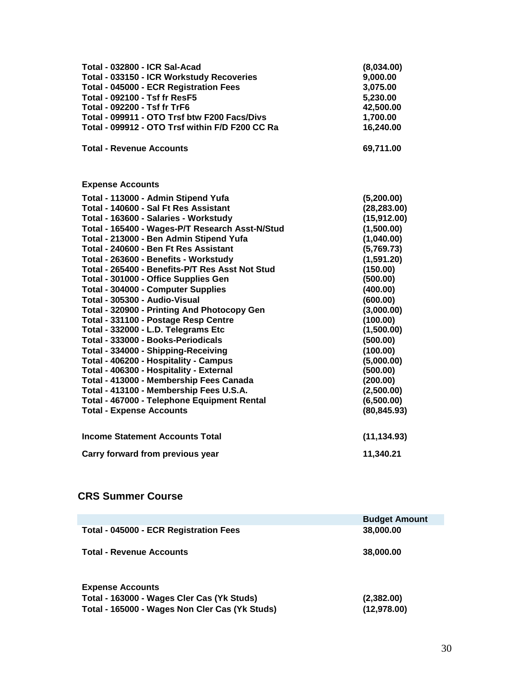| Total - 032800 - ICR Sal-Acad<br><b>Total - 033150 - ICR Workstudy Recoveries</b><br><b>Total - 045000 - ECR Registration Fees</b><br><b>Total - 092100 - Tsf fr ResF5</b><br><b>Total - 092200 - Tsf fr TrF6</b><br>Total - 099911 - OTO Trsf btw F200 Facs/Divs<br>Total - 099912 - OTO Trsf within F/D F200 CC Ra<br><b>Total - Revenue Accounts</b>                                                                                                                                                                                                                                                                                                                                                                                                                                                                                                                                                            | (8,034.00)<br>9,000.00<br>3,075.00<br>5,230.00<br>42,500.00<br>1,700.00<br>16,240.00<br>69,711.00                                                                                                                                                                                   |
|--------------------------------------------------------------------------------------------------------------------------------------------------------------------------------------------------------------------------------------------------------------------------------------------------------------------------------------------------------------------------------------------------------------------------------------------------------------------------------------------------------------------------------------------------------------------------------------------------------------------------------------------------------------------------------------------------------------------------------------------------------------------------------------------------------------------------------------------------------------------------------------------------------------------|-------------------------------------------------------------------------------------------------------------------------------------------------------------------------------------------------------------------------------------------------------------------------------------|
|                                                                                                                                                                                                                                                                                                                                                                                                                                                                                                                                                                                                                                                                                                                                                                                                                                                                                                                    |                                                                                                                                                                                                                                                                                     |
| <b>Expense Accounts</b>                                                                                                                                                                                                                                                                                                                                                                                                                                                                                                                                                                                                                                                                                                                                                                                                                                                                                            |                                                                                                                                                                                                                                                                                     |
| Total - 113000 - Admin Stipend Yufa<br>Total - 140600 - Sal Ft Res Assistant<br>Total - 163600 - Salaries - Workstudy<br>Total - 165400 - Wages-P/T Research Asst-N/Stud<br>Total - 213000 - Ben Admin Stipend Yufa<br>Total - 240600 - Ben Ft Res Assistant<br>Total - 263600 - Benefits - Workstudy<br>Total - 265400 - Benefits-P/T Res Asst Not Stud<br>Total - 301000 - Office Supplies Gen<br><b>Total - 304000 - Computer Supplies</b><br>Total - 305300 - Audio-Visual<br>Total - 320900 - Printing And Photocopy Gen<br>Total - 331100 - Postage Resp Centre<br>Total - 332000 - L.D. Telegrams Etc<br>Total - 333000 - Books-Periodicals<br>Total - 334000 - Shipping-Receiving<br>Total - 406200 - Hospitality - Campus<br>Total - 406300 - Hospitality - External<br>Total - 413000 - Membership Fees Canada<br>Total - 413100 - Membership Fees U.S.A.<br>Total - 467000 - Telephone Equipment Rental | (5,200.00)<br>(28, 283.00)<br>(15,912.00)<br>(1,500.00)<br>(1,040.00)<br>(5,769.73)<br>(1,591.20)<br>(150.00)<br>(500.00)<br>(400.00)<br>(600.00)<br>(3,000.00)<br>(100.00)<br>(1,500.00)<br>(500.00)<br>(100.00)<br>(5,000.00)<br>(500.00)<br>(200.00)<br>(2,500.00)<br>(6,500.00) |
| <b>Total - Expense Accounts</b>                                                                                                                                                                                                                                                                                                                                                                                                                                                                                                                                                                                                                                                                                                                                                                                                                                                                                    | (80, 845.93)                                                                                                                                                                                                                                                                        |
| <b>Income Statement Accounts Total</b>                                                                                                                                                                                                                                                                                                                                                                                                                                                                                                                                                                                                                                                                                                                                                                                                                                                                             | (11, 134.93)                                                                                                                                                                                                                                                                        |
| Carry forward from previous year                                                                                                                                                                                                                                                                                                                                                                                                                                                                                                                                                                                                                                                                                                                                                                                                                                                                                   | 11,340.21                                                                                                                                                                                                                                                                           |

### **CRS Summer Course**

|                                                | <b>Budget Amount</b> |
|------------------------------------------------|----------------------|
| Total - 045000 - ECR Registration Fees         | 38,000.00            |
| <b>Total - Revenue Accounts</b>                | 38,000.00            |
| <b>Expense Accounts</b>                        |                      |
| Total - 163000 - Wages Cler Cas (Yk Studs)     | (2,382.00)           |
| Total - 165000 - Wages Non Cler Cas (Yk Studs) | (12,978.00)          |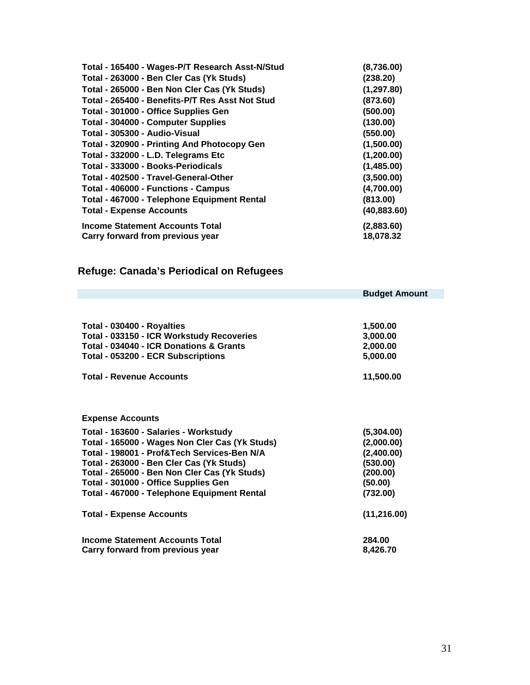| Total - 165400 - Wages-P/T Research Asst-N/Stud | (8,736.00)   |
|-------------------------------------------------|--------------|
| Total - 263000 - Ben Cler Cas (Yk Studs)        | (238.20)     |
| Total - 265000 - Ben Non Cler Cas (Yk Studs)    | (1, 297.80)  |
| Total - 265400 - Benefits-P/T Res Asst Not Stud | (873.60)     |
| Total - 301000 - Office Supplies Gen            | (500.00)     |
| Total - 304000 - Computer Supplies              | (130.00)     |
| Total - 305300 - Audio-Visual                   | (550.00)     |
| Total - 320900 - Printing And Photocopy Gen     | (1,500.00)   |
| Total - 332000 - L.D. Telegrams Etc             | (1,200.00)   |
| Total - 333000 - Books-Periodicals              | (1,485.00)   |
| Total - 402500 - Travel-General-Other           | (3,500.00)   |
| Total - 406000 - Functions - Campus             | (4,700.00)   |
| Total - 467000 - Telephone Equipment Rental     | (813.00)     |
| <b>Total - Expense Accounts</b>                 | (40, 883.60) |
| <b>Income Statement Accounts Total</b>          | (2,883.60)   |
| Carry forward from previous year                | 18,078.32    |

# **Refuge: Canada's Periodical on Refugees**

|                                                                                                                                                                                                                                                                                                                           | <b>Budget Amount</b>                                                                  |
|---------------------------------------------------------------------------------------------------------------------------------------------------------------------------------------------------------------------------------------------------------------------------------------------------------------------------|---------------------------------------------------------------------------------------|
|                                                                                                                                                                                                                                                                                                                           |                                                                                       |
| Total - 030400 - Royalties<br>Total - 033150 - ICR Workstudy Recoveries<br>Total - 034040 - ICR Donations & Grants<br>Total - 053200 - ECR Subscriptions                                                                                                                                                                  | 1,500.00<br>3,000.00<br>2,000.00<br>5,000.00                                          |
| <b>Total - Revenue Accounts</b>                                                                                                                                                                                                                                                                                           | 11,500.00                                                                             |
| <b>Expense Accounts</b>                                                                                                                                                                                                                                                                                                   |                                                                                       |
| Total - 163600 - Salaries - Workstudy<br>Total - 165000 - Wages Non Cler Cas (Yk Studs)<br>Total - 198001 - Prof&Tech Services-Ben N/A<br>Total - 263000 - Ben Cler Cas (Yk Studs)<br>Total - 265000 - Ben Non Cler Cas (Yk Studs)<br>Total - 301000 - Office Supplies Gen<br>Total - 467000 - Telephone Equipment Rental | (5,304.00)<br>(2,000.00)<br>(2,400.00)<br>(530.00)<br>(200.00)<br>(50.00)<br>(732.00) |
| <b>Total - Expense Accounts</b>                                                                                                                                                                                                                                                                                           | (11, 216.00)                                                                          |
| <b>Income Statement Accounts Total</b><br>Carry forward from previous year                                                                                                                                                                                                                                                | 284.00<br>8,426.70                                                                    |